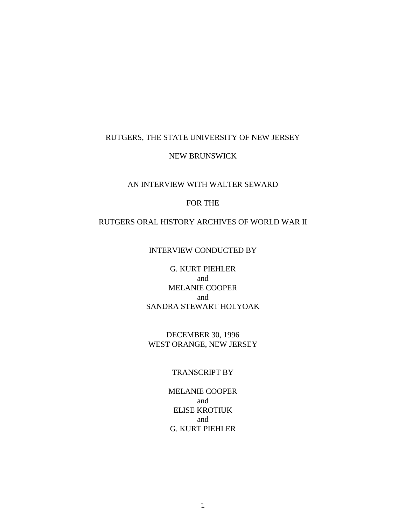#### RUTGERS, THE STATE UNIVERSITY OF NEW JERSEY

#### NEW BRUNSWICK

## AN INTERVIEW WITH WALTER SEWARD

#### FOR THE

#### RUTGERS ORAL HISTORY ARCHIVES OF WORLD WAR II

### INTERVIEW CONDUCTED BY

# G. KURT PIEHLER and MELANIE COOPER and SANDRA STEWART HOLYOAK

### DECEMBER 30, 1996 WEST ORANGE, NEW JERSEY

# TRANSCRIPT BY

MELANIE COOPER and ELISE KROTIUK and G. KURT PIEHLER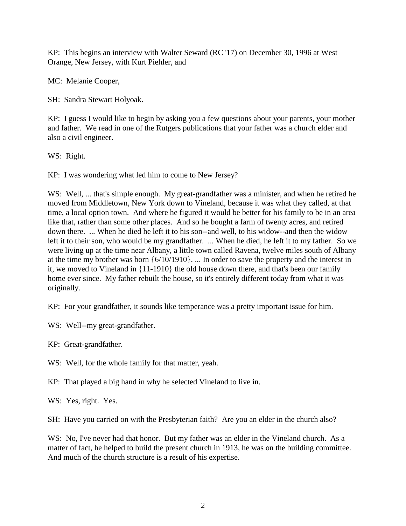KP: This begins an interview with Walter Seward (RC '17) on December 30, 1996 at West Orange, New Jersey, with Kurt Piehler, and

MC: Melanie Cooper,

SH: Sandra Stewart Holyoak.

KP: I guess I would like to begin by asking you a few questions about your parents, your mother and father. We read in one of the Rutgers publications that your father was a church elder and also a civil engineer.

WS: Right.

KP: I was wondering what led him to come to New Jersey?

WS: Well, ... that's simple enough. My great-grandfather was a minister, and when he retired he moved from Middletown, New York down to Vineland, because it was what they called, at that time, a local option town. And where he figured it would be better for his family to be in an area like that, rather than some other places. And so he bought a farm of twenty acres, and retired down there. ... When he died he left it to his son--and well, to his widow--and then the widow left it to their son, who would be my grandfather. ... When he died, he left it to my father. So we were living up at the time near Albany, a little town called Ravena, twelve miles south of Albany at the time my brother was born {6/10/1910}. ... In order to save the property and the interest in it, we moved to Vineland in {11-1910} the old house down there, and that's been our family home ever since. My father rebuilt the house, so it's entirely different today from what it was originally.

KP: For your grandfather, it sounds like temperance was a pretty important issue for him.

WS: Well--my great-grandfather.

KP: Great-grandfather.

WS: Well, for the whole family for that matter, yeah.

KP: That played a big hand in why he selected Vineland to live in.

WS: Yes, right. Yes.

SH: Have you carried on with the Presbyterian faith? Are you an elder in the church also?

WS: No, I've never had that honor. But my father was an elder in the Vineland church. As a matter of fact, he helped to build the present church in 1913, he was on the building committee. And much of the church structure is a result of his expertise.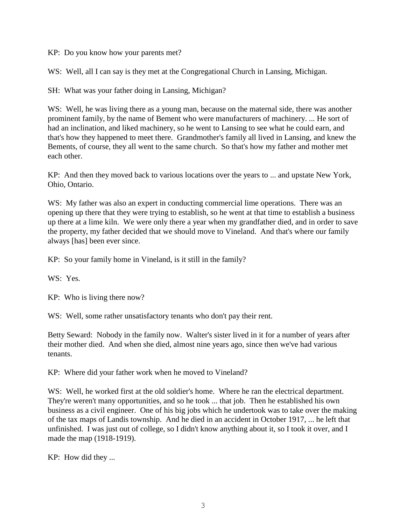KP: Do you know how your parents met?

WS: Well, all I can say is they met at the Congregational Church in Lansing, Michigan.

SH: What was your father doing in Lansing, Michigan?

W.S: Well, he was living there as a young man, because on the maternal side, there was another prominent family, by the name of Bement who were manufacturers of machinery. ... He sort of had an inclination, and liked machinery, so he went to Lansing to see what he could earn, and that's how they happened to meet there. Grandmother's family all lived in Lansing, and knew the Bements, of course, they all went to the same church. So that's how my father and mother met each other.

KP: And then they moved back to various locations over the years to ... and upstate New York, Ohio, Ontario.

WS: My father was also an expert in conducting commercial lime operations. There was an opening up there that they were trying to establish, so he went at that time to establish a business up there at a lime kiln. We were only there a year when my grandfather died, and in order to save the property, my father decided that we should move to Vineland. And that's where our family always [has] been ever since.

KP: So your family home in Vineland, is it still in the family?

WS: Yes.

KP: Who is living there now?

WS: Well, some rather unsatisfactory tenants who don't pay their rent.

Betty Seward: Nobody in the family now. Walter's sister lived in it for a number of years after their mother died. And when she died, almost nine years ago, since then we've had various tenants.

KP: Where did your father work when he moved to Vineland?

WS: Well, he worked first at the old soldier's home. Where he ran the electrical department. They're weren't many opportunities, and so he took ... that job. Then he established his own business as a civil engineer. One of his big jobs which he undertook was to take over the making of the tax maps of Landis township. And he died in an accident in October 1917, ... he left that unfinished. I was just out of college, so I didn't know anything about it, so I took it over, and I made the map (1918-1919).

KP: How did they ...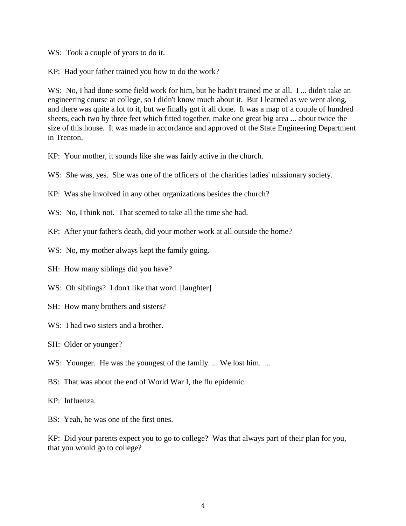WS: Took a couple of years to do it.

KP: Had your father trained you how to do the work?

WS: No, I had done some field work for him, but he hadn't trained me at all. I ... didn't take an engineering course at college, so I didn't know much about it. But I learned as we went along, and there was quite a lot to it, but we finally got it all done. It was a map of a couple of hundred sheets, each two by three feet which fitted together, make one great big area ... about twice the size of this house. It was made in accordance and approved of the State Engineering Department in Trenton.

KP: Your mother, it sounds like she was fairly active in the church.

WS: She was, yes. She was one of the officers of the charities ladies' missionary society.

KP: Was she involved in any other organizations besides the church?

WS: No. I think not. That seemed to take all the time she had.

KP: After your father's death, did your mother work at all outside the home?

- WS: No, my mother always kept the family going.
- SH: How many siblings did you have?

WS: Oh siblings? I don't like that word. [laughter]

- SH: How many brothers and sisters?
- WS: I had two sisters and a brother.
- SH: Older or younger?

W.S: Younger. He was the youngest of the family. ... We lost him. ...

BS: That was about the end of World War I, the flu epidemic.

KP: Influenza.

BS: Yeah, he was one of the first ones.

KP: Did your parents expect you to go to college? Was that always part of their plan for you, that you would go to college?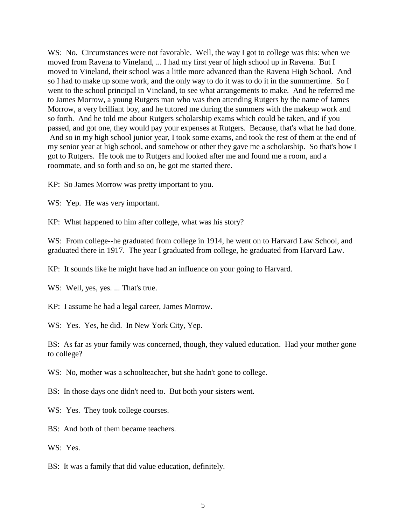WS: No. Circumstances were not favorable. Well, the way I got to college was this: when we moved from Ravena to Vineland, ... I had my first year of high school up in Ravena. But I moved to Vineland, their school was a little more advanced than the Ravena High School. And so I had to make up some work, and the only way to do it was to do it in the summertime. So I went to the school principal in Vineland, to see what arrangements to make. And he referred me to James Morrow, a young Rutgers man who was then attending Rutgers by the name of James Morrow, a very brilliant boy, and he tutored me during the summers with the makeup work and so forth. And he told me about Rutgers scholarship exams which could be taken, and if you passed, and got one, they would pay your expenses at Rutgers. Because, that's what he had done. And so in my high school junior year, I took some exams, and took the rest of them at the end of my senior year at high school, and somehow or other they gave me a scholarship. So that's how I got to Rutgers. He took me to Rutgers and looked after me and found me a room, and a roommate, and so forth and so on, he got me started there.

KP: So James Morrow was pretty important to you.

WS: Yep. He was very important.

KP: What happened to him after college, what was his story?

WS: From college--he graduated from college in 1914, he went on to Harvard Law School, and graduated there in 1917. The year I graduated from college, he graduated from Harvard Law.

KP: It sounds like he might have had an influence on your going to Harvard.

WS: Well, yes, yes. ... That's true.

KP: I assume he had a legal career, James Morrow.

WS: Yes. Yes, he did. In New York City, Yep.

BS: As far as your family was concerned, though, they valued education. Had your mother gone to college?

WS: No, mother was a schoolteacher, but she hadn't gone to college.

BS: In those days one didn't need to. But both your sisters went.

WS: Yes. They took college courses.

BS: And both of them became teachers.

WS: Yes.

BS: It was a family that did value education, definitely.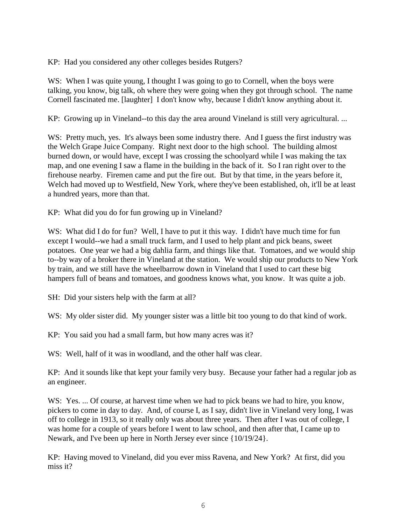KP: Had you considered any other colleges besides Rutgers?

WS: When I was quite young, I thought I was going to go to Cornell, when the boys were talking, you know, big talk, oh where they were going when they got through school. The name Cornell fascinated me. [laughter] I don't know why, because I didn't know anything about it.

KP: Growing up in Vineland--to this day the area around Vineland is still very agricultural. ...

WS: Pretty much, yes. It's always been some industry there. And I guess the first industry was the Welch Grape Juice Company. Right next door to the high school. The building almost burned down, or would have, except I was crossing the schoolyard while I was making the tax map, and one evening I saw a flame in the building in the back of it. So I ran right over to the firehouse nearby. Firemen came and put the fire out. But by that time, in the years before it, Welch had moved up to Westfield, New York, where they've been established, oh, it'll be at least a hundred years, more than that.

KP: What did you do for fun growing up in Vineland?

WS: What did I do for fun? Well, I have to put it this way. I didn't have much time for fun except I would--we had a small truck farm, and I used to help plant and pick beans, sweet potatoes. One year we had a big dahlia farm, and things like that. Tomatoes, and we would ship to--by way of a broker there in Vineland at the station. We would ship our products to New York by train, and we still have the wheelbarrow down in Vineland that I used to cart these big hampers full of beans and tomatoes, and goodness knows what, you know. It was quite a job.

SH: Did your sisters help with the farm at all?

WS: My older sister did. My younger sister was a little bit too young to do that kind of work.

KP: You said you had a small farm, but how many acres was it?

WS: Well, half of it was in woodland, and the other half was clear.

KP: And it sounds like that kept your family very busy. Because your father had a regular job as an engineer.

WS: Yes. ... Of course, at harvest time when we had to pick beans we had to hire, you know, pickers to come in day to day. And, of course I, as I say, didn't live in Vineland very long, I was off to college in 1913, so it really only was about three years. Then after I was out of college, I was home for a couple of years before I went to law school, and then after that, I came up to Newark, and I've been up here in North Jersey ever since {10/19/24}.

KP: Having moved to Vineland, did you ever miss Ravena, and New York? At first, did you miss it?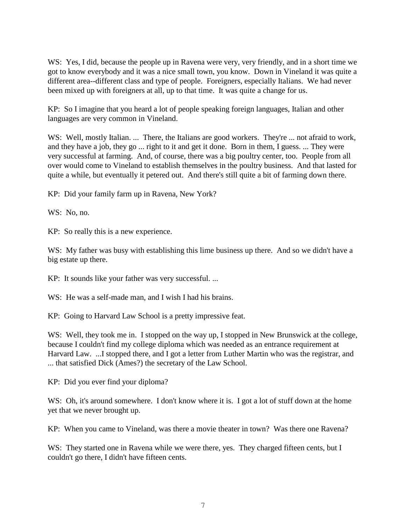WS: Yes, I did, because the people up in Ravena were very, very friendly, and in a short time we got to know everybody and it was a nice small town, you know. Down in Vineland it was quite a different area--different class and type of people. Foreigners, especially Italians. We had never been mixed up with foreigners at all, up to that time. It was quite a change for us.

KP: So I imagine that you heard a lot of people speaking foreign languages, Italian and other languages are very common in Vineland.

WS: Well, mostly Italian. ... There, the Italians are good workers. They're ... not afraid to work, and they have a job, they go ... right to it and get it done. Born in them, I guess. ... They were very successful at farming. And, of course, there was a big poultry center, too. People from all over would come to Vineland to establish themselves in the poultry business. And that lasted for quite a while, but eventually it petered out. And there's still quite a bit of farming down there.

KP: Did your family farm up in Ravena, New York?

WS: No. no.

KP: So really this is a new experience.

WS: My father was busy with establishing this lime business up there. And so we didn't have a big estate up there.

KP: It sounds like your father was very successful. ...

W.S: He was a self-made man, and I wish I had his brains.

KP: Going to Harvard Law School is a pretty impressive feat.

WS: Well, they took me in. I stopped on the way up, I stopped in New Brunswick at the college, because I couldn't find my college diploma which was needed as an entrance requirement at Harvard Law. ...I stopped there, and I got a letter from Luther Martin who was the registrar, and ... that satisfied Dick (Ames?) the secretary of the Law School.

KP: Did you ever find your diploma?

WS: Oh, it's around somewhere. I don't know where it is. I got a lot of stuff down at the home yet that we never brought up.

KP: When you came to Vineland, was there a movie theater in town? Was there one Ravena?

WS: They started one in Ravena while we were there, yes. They charged fifteen cents, but I couldn't go there, I didn't have fifteen cents.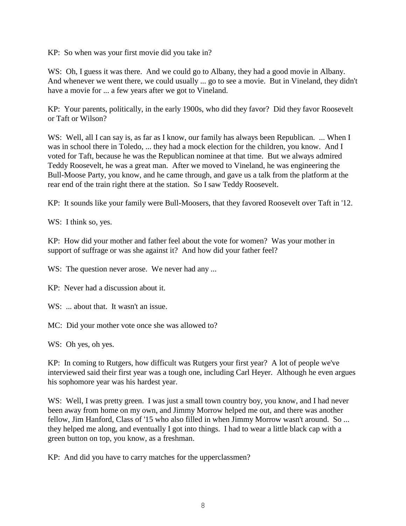KP: So when was your first movie did you take in?

WS: Oh, I guess it was there. And we could go to Albany, they had a good movie in Albany. And whenever we went there, we could usually ... go to see a movie. But in Vineland, they didn't have a movie for ... a few years after we got to Vineland.

KP: Your parents, politically, in the early 1900s, who did they favor? Did they favor Roosevelt or Taft or Wilson?

WS: Well, all I can say is, as far as I know, our family has always been Republican. ... When I was in school there in Toledo, ... they had a mock election for the children, you know. And I voted for Taft, because he was the Republican nominee at that time. But we always admired Teddy Roosevelt, he was a great man. After we moved to Vineland, he was engineering the Bull-Moose Party, you know, and he came through, and gave us a talk from the platform at the rear end of the train right there at the station. So I saw Teddy Roosevelt.

KP: It sounds like your family were Bull-Moosers, that they favored Roosevelt over Taft in '12.

WS: I think so, yes.

KP: How did your mother and father feel about the vote for women? Was your mother in support of suffrage or was she against it? And how did your father feel?

WS: The question never arose. We never had any ...

KP: Never had a discussion about it.

WS: ... about that. It wasn't an issue.

MC: Did your mother vote once she was allowed to?

WS: Oh yes, oh yes.

KP: In coming to Rutgers, how difficult was Rutgers your first year? A lot of people we've interviewed said their first year was a tough one, including Carl Heyer. Although he even argues his sophomore year was his hardest year.

WS: Well, I was pretty green. I was just a small town country boy, you know, and I had never been away from home on my own, and Jimmy Morrow helped me out, and there was another fellow, Jim Hanford, Class of '15 who also filled in when Jimmy Morrow wasn't around. So ... they helped me along, and eventually I got into things. I had to wear a little black cap with a green button on top, you know, as a freshman.

KP: And did you have to carry matches for the upperclassmen?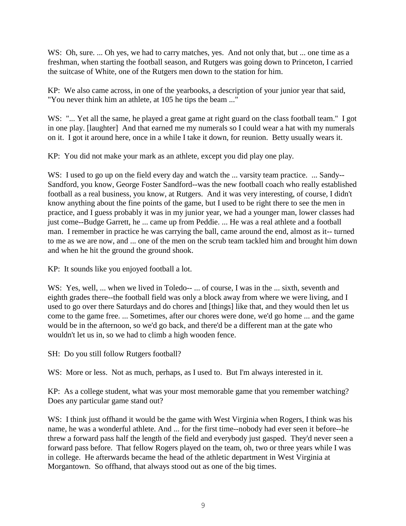WS: Oh, sure. ... Oh yes, we had to carry matches, yes. And not only that, but ... one time as a freshman, when starting the football season, and Rutgers was going down to Princeton, I carried the suitcase of White, one of the Rutgers men down to the station for him.

KP: We also came across, in one of the yearbooks, a description of your junior year that said, "You never think him an athlete, at 105 he tips the beam ..."

WS: "... Yet all the same, he played a great game at right guard on the class football team." I got in one play. [laughter] And that earned me my numerals so I could wear a hat with my numerals on it. I got it around here, once in a while I take it down, for reunion. Betty usually wears it.

KP: You did not make your mark as an athlete, except you did play one play.

WS: I used to go up on the field every day and watch the ... varsity team practice. ... Sandy--Sandford, you know, George Foster Sandford--was the new football coach who really established football as a real business, you know, at Rutgers. And it was very interesting, of course, I didn't know anything about the fine points of the game, but I used to be right there to see the men in practice, and I guess probably it was in my junior year, we had a younger man, lower classes had just come--Budge Garrett, he ... came up from Peddie. ... He was a real athlete and a football man. I remember in practice he was carrying the ball, came around the end, almost as it-- turned to me as we are now, and ... one of the men on the scrub team tackled him and brought him down and when he hit the ground the ground shook.

KP: It sounds like you enjoyed football a lot.

WS: Yes, well, ... when we lived in Toledo-- ... of course, I was in the ... sixth, seventh and eighth grades there--the football field was only a block away from where we were living, and I used to go over there Saturdays and do chores and [things] like that, and they would then let us come to the game free. ... Sometimes, after our chores were done, we'd go home ... and the game would be in the afternoon, so we'd go back, and there'd be a different man at the gate who wouldn't let us in, so we had to climb a high wooden fence.

SH: Do you still follow Rutgers football?

WS: More or less. Not as much, perhaps, as I used to. But I'm always interested in it.

KP: As a college student, what was your most memorable game that you remember watching? Does any particular game stand out?

WS: I think just of fhand it would be the game with West Virginia when Rogers, I think was his name, he was a wonderful athlete. And ... for the first time--nobody had ever seen it before--he threw a forward pass half the length of the field and everybody just gasped. They'd never seen a forward pass before. That fellow Rogers played on the team, oh, two or three years while I was in college. He afterwards became the head of the athletic department in West Virginia at Morgantown. So offhand, that always stood out as one of the big times.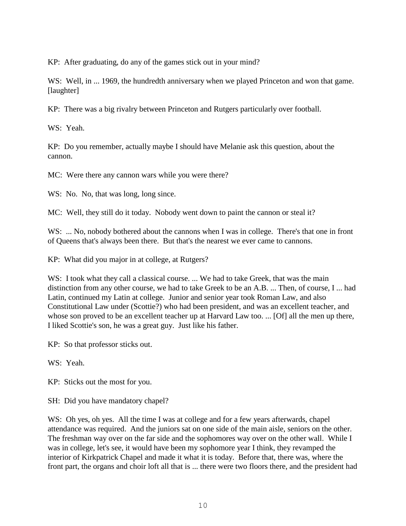KP: After graduating, do any of the games stick out in your mind?

WS: Well, in ... 1969, the hundredth anniversary when we played Princeton and won that game. [laughter]

KP: There was a big rivalry between Princeton and Rutgers particularly over football.

WS: Yeah.

KP: Do you remember, actually maybe I should have Melanie ask this question, about the cannon.

MC: Were there any cannon wars while you were there?

WS: No. No, that was long, long since.

MC: Well, they still do it today. Nobody went down to paint the cannon or steal it?

WS: ... No, nobody bothered about the cannons when I was in college. There's that one in front of Queens that's always been there. But that's the nearest we ever came to cannons.

KP: What did you major in at college, at Rutgers?

WS: I took what they call a classical course. ... We had to take Greek, that was the main distinction from any other course, we had to take Greek to be an A.B. ... Then, of course, I ... had Latin, continued my Latin at college. Junior and senior year took Roman Law, and also Constitutional Law under (Scottie?) who had been president, and was an excellent teacher, and whose son proved to be an excellent teacher up at Harvard Law too. ... [Of] all the men up there, I liked Scottie's son, he was a great guy. Just like his father.

KP: So that professor sticks out.

WS: Yeah.

KP: Sticks out the most for you.

SH: Did you have mandatory chapel?

WS: Oh yes, oh yes. All the time I was at college and for a few years afterwards, chapel attendance was required. And the juniors sat on one side of the main aisle, seniors on the other. The freshman way over on the far side and the sophomores way over on the other wall. While I was in college, let's see, it would have been my sophomore year I think, they revamped the interior of Kirkpatrick Chapel and made it what it is today. Before that, there was, where the front part, the organs and choir loft all that is ... there were two floors there, and the president had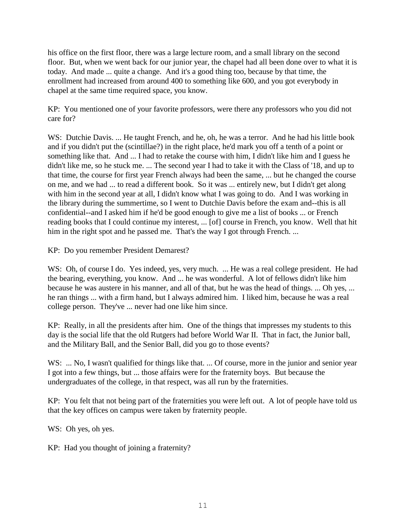his office on the first floor, there was a large lecture room, and a small library on the second floor. But, when we went back for our junior year, the chapel had all been done over to what it is today. And made ... quite a change. And it's a good thing too, because by that time, the enrollment had increased from around 400 to something like 600, and you got everybody in chapel at the same time required space, you know.

KP: You mentioned one of your favorite professors, were there any professors who you did not care for?

WS: Dutchie Davis. ... He taught French, and he, oh, he was a terror. And he had his little book and if you didn't put the (scintillae?) in the right place, he'd mark you off a tenth of a point or something like that. And ... I had to retake the course with him, I didn't like him and I guess he didn't like me, so he stuck me. ... The second year I had to take it with the Class of '18, and up to that time, the course for first year French always had been the same, ... but he changed the course on me, and we had ... to read a different book. So it was ... entirely new, but I didn't get along with him in the second year at all, I didn't know what I was going to do. And I was working in the library during the summertime, so I went to Dutchie Davis before the exam and--this is all confidential--and I asked him if he'd be good enough to give me a list of books ... or French reading books that I could continue my interest, ... [of] course in French, you know. Well that hit him in the right spot and he passed me. That's the way I got through French. ...

KP: Do you remember President Demarest?

WS: Oh, of course I do. Yes indeed, yes, very much. ... He was a real college president. He had the bearing, everything, you know. And ... he was wonderful. A lot of fellows didn't like him because he was austere in his manner, and all of that, but he was the head of things. ... Oh yes, ... he ran things ... with a firm hand, but I always admired him. I liked him, because he was a real college person. They've ... never had one like him since.

KP: Really, in all the presidents after him. One of the things that impresses my students to this day is the social life that the old Rutgers had before World War II. That in fact, the Junior ball, and the Military Ball, and the Senior Ball, did you go to those events?

WS: ... No, I wasn't qualified for things like that. ... Of course, more in the junior and senior year I got into a few things, but ... those affairs were for the fraternity boys. But because the undergraduates of the college, in that respect, was all run by the fraternities.

KP: You felt that not being part of the fraternities you were left out. A lot of people have told us that the key offices on campus were taken by fraternity people.

WS: Oh yes, oh yes.

KP: Had you thought of joining a fraternity?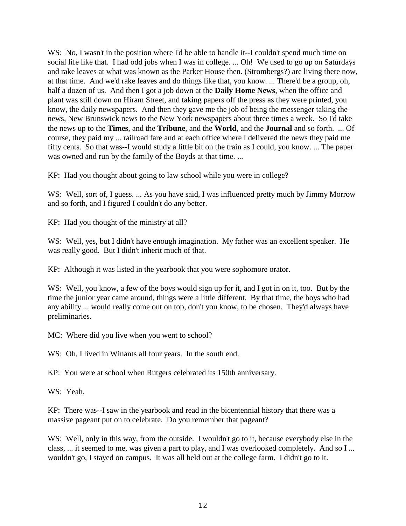WS: No, I wasn't in the position where I'd be able to handle it--I couldn't spend much time on social life like that. I had odd jobs when I was in college. ... Oh! We used to go up on Saturdays and rake leaves at what was known as the Parker House then. (Strombergs?) are living there now, at that time. And we'd rake leaves and do things like that, you know. ... There'd be a group, oh, half a dozen of us. And then I got a job down at the **Daily Home News**, when the office and plant was still down on Hiram Street, and taking papers off the press as they were printed, you know, the daily newspapers. And then they gave me the job of being the messenger taking the news, New Brunswick news to the New York newspapers about three times a week. So I'd take the news up to the **Times**, and the **Tribune**, and the **World**, and the **Journal** and so forth. ... Of course, they paid my ... railroad fare and at each office where I delivered the news they paid me fifty cents. So that was--I would study a little bit on the train as I could, you know. ... The paper was owned and run by the family of the Boyds at that time. ...

KP: Had you thought about going to law school while you were in college?

WS: Well, sort of, I guess. ... As you have said, I was influenced pretty much by Jimmy Morrow and so forth, and I figured I couldn't do any better.

KP: Had you thought of the ministry at all?

WS: Well, yes, but I didn't have enough imagination. My father was an excellent speaker. He was really good. But I didn't inherit much of that.

KP: Although it was listed in the yearbook that you were sophomore orator.

WS: Well, you know, a few of the boys would sign up for it, and I got in on it, too. But by the time the junior year came around, things were a little different. By that time, the boys who had any ability ... would really come out on top, don't you know, to be chosen. They'd always have preliminaries.

MC: Where did you live when you went to school?

WS: Oh, I lived in Winants all four years. In the south end.

KP: You were at school when Rutgers celebrated its 150th anniversary.

WS: Yeah.

KP: There was--I saw in the yearbook and read in the bicentennial history that there was a massive pageant put on to celebrate. Do you remember that pageant?

W.S: Well, only in this way, from the outside. I wouldn't go to it, because everybody else in the class, ... it seemed to me, was given a part to play, and I was overlooked completely. And so I ... wouldn't go, I stayed on campus. It was all held out at the college farm. I didn't go to it.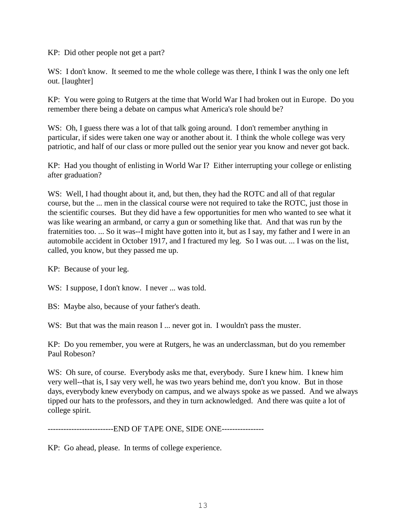KP: Did other people not get a part?

WS: I don't know. It seemed to me the whole college was there, I think I was the only one left out. [laughter]

KP: You were going to Rutgers at the time that World War I had broken out in Europe. Do you remember there being a debate on campus what America's role should be?

WS: Oh, I guess there was a lot of that talk going around. I don't remember anything in particular, if sides were taken one way or another about it. I think the whole college was very patriotic, and half of our class or more pulled out the senior year you know and never got back.

KP: Had you thought of enlisting in World War I? Either interrupting your college or enlisting after graduation?

WS: Well, I had thought about it, and, but then, they had the ROTC and all of that regular course, but the ... men in the classical course were not required to take the ROTC, just those in the scientific courses. But they did have a few opportunities for men who wanted to see what it was like wearing an armband, or carry a gun or something like that. And that was run by the fraternities too. ... So it was--I might have gotten into it, but as I say, my father and I were in an automobile accident in October 1917, and I fractured my leg. So I was out. ... I was on the list, called, you know, but they passed me up.

KP: Because of your leg.

WS: I suppose, I don't know. I never ... was told.

BS: Maybe also, because of your father's death.

WS: But that was the main reason I ... never got in. I wouldn't pass the muster.

KP: Do you remember, you were at Rutgers, he was an underclassman, but do you remember Paul Robeson?

WS: Oh sure, of course. Everybody asks me that, everybody. Sure I knew him. I knew him very well--that is, I say very well, he was two years behind me, don't you know. But in those days, everybody knew everybody on campus, and we always spoke as we passed. And we always tipped our hats to the professors, and they in turn acknowledged. And there was quite a lot of college spirit.

-------------------------END OF TAPE ONE, SIDE ONE----------------

KP: Go ahead, please. In terms of college experience.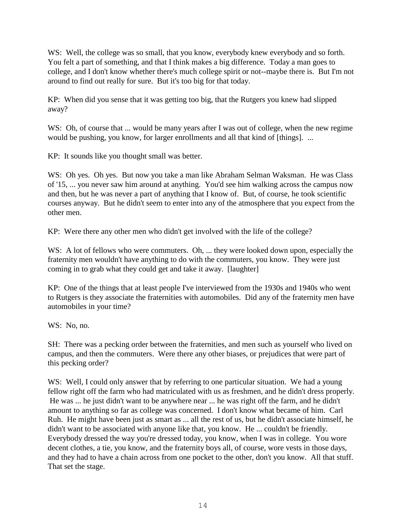WS: Well, the college was so small, that you know, everybody knew everybody and so forth. You felt a part of something, and that I think makes a big difference. Today a man goes to college, and I don't know whether there's much college spirit or not--maybe there is. But I'm not around to find out really for sure. But it's too big for that today.

KP: When did you sense that it was getting too big, that the Rutgers you knew had slipped away?

WS: Oh, of course that ... would be many years after I was out of college, when the new regime would be pushing, you know, for larger enrollments and all that kind of [things]. ...

KP: It sounds like you thought small was better.

WS: Oh yes. Oh yes. But now you take a man like Abraham Selman Waksman. He was Class of '15, ... you never saw him around at anything. You'd see him walking across the campus now and then, but he was never a part of anything that I know of. But, of course, he took scientific courses anyway. But he didn't seem to enter into any of the atmosphere that you expect from the other men.

KP: Were there any other men who didn't get involved with the life of the college?

WS: A lot of fellows who were commuters. Oh, ... they were looked down upon, especially the fraternity men wouldn't have anything to do with the commuters, you know. They were just coming in to grab what they could get and take it away. [laughter]

KP: One of the things that at least people I've interviewed from the 1930s and 1940s who went to Rutgers is they associate the fraternities with automobiles. Did any of the fraternity men have automobiles in your time?

WS: No, no.

SH: There was a pecking order between the fraternities, and men such as yourself who lived on campus, and then the commuters. Were there any other biases, or prejudices that were part of this pecking order?

WS: Well, I could only answer that by referring to one particular situation. We had a young fellow right off the farm who had matriculated with us as freshmen, and he didn't dress properly. He was ... he just didn't want to be anywhere near ... he was right off the farm, and he didn't amount to anything so far as college was concerned. I don't know what became of him. Carl Ruh. He might have been just as smart as ... all the rest of us, but he didn't associate himself, he didn't want to be associated with anyone like that, you know. He ... couldn't be friendly. Everybody dressed the way you're dressed today, you know, when I was in college. You wore decent clothes, a tie, you know, and the fraternity boys all, of course, wore vests in those days, and they had to have a chain across from one pocket to the other, don't you know. All that stuff. That set the stage.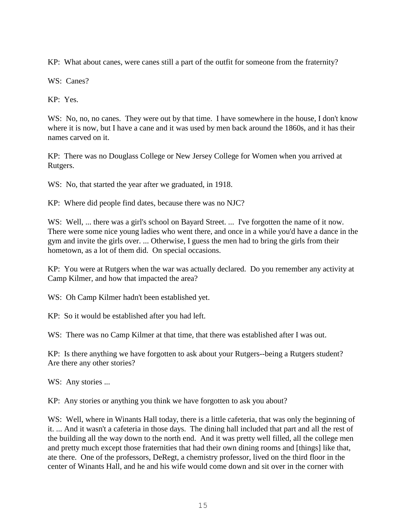KP: What about canes, were canes still a part of the outfit for someone from the fraternity?

WS: Canes?

KP: Yes.

WS: No, no, no canes. They were out by that time. I have somewhere in the house, I don't know where it is now, but I have a cane and it was used by men back around the 1860s, and it has their names carved on it.

KP: There was no Douglass College or New Jersey College for Women when you arrived at Rutgers.

WS: No, that started the year after we graduated, in 1918.

KP: Where did people find dates, because there was no NJC?

WS: Well, ... there was a girl's school on Bayard Street. ... I've forgotten the name of it now. There were some nice young ladies who went there, and once in a while you'd have a dance in the gym and invite the girls over. ... Otherwise, I guess the men had to bring the girls from their hometown, as a lot of them did. On special occasions.

KP: You were at Rutgers when the war was actually declared. Do you remember any activity at Camp Kilmer, and how that impacted the area?

WS: Oh Camp Kilmer hadn't been established yet.

KP: So it would be established after you had left.

WS: There was no Camp Kilmer at that time, that there was established after I was out.

KP: Is there anything we have forgotten to ask about your Rutgers--being a Rutgers student? Are there any other stories?

WS: Any stories ...

KP: Any stories or anything you think we have forgotten to ask you about?

WS: Well, where in Winants Hall today, there is a little cafeteria, that was only the beginning of it. ... And it wasn't a cafeteria in those days. The dining hall included that part and all the rest of the building all the way down to the north end. And it was pretty well filled, all the college men and pretty much except those fraternities that had their own dining rooms and [things] like that, ate there. One of the professors, DeRegt, a chemistry professor, lived on the third floor in the center of Winants Hall, and he and his wife would come down and sit over in the corner with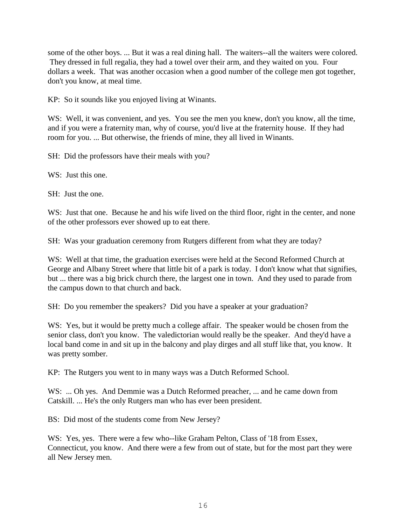some of the other boys. ... But it was a real dining hall. The waiters--all the waiters were colored. They dressed in full regalia, they had a towel over their arm, and they waited on you. Four dollars a week. That was another occasion when a good number of the college men got together, don't you know, at meal time.

KP: So it sounds like you enjoyed living at Winants.

WS: Well, it was convenient, and yes. You see the men you knew, don't you know, all the time, and if you were a fraternity man, why of course, you'd live at the fraternity house. If they had room for you. ... But otherwise, the friends of mine, they all lived in Winants.

SH: Did the professors have their meals with you?

WS: Just this one.

SH: Just the one.

WS: Just that one. Because he and his wife lived on the third floor, right in the center, and none of the other professors ever showed up to eat there.

SH: Was your graduation ceremony from Rutgers different from what they are today?

WS: Well at that time, the graduation exercises were held at the Second Reformed Church at George and Albany Street where that little bit of a park is today. I don't know what that signifies, but ... there was a big brick church there, the largest one in town. And they used to parade from the campus down to that church and back.

SH: Do you remember the speakers? Did you have a speaker at your graduation?

WS: Yes, but it would be pretty much a college affair. The speaker would be chosen from the senior class, don't you know. The valedictorian would really be the speaker. And they'd have a local band come in and sit up in the balcony and play dirges and all stuff like that, you know. It was pretty somber.

KP: The Rutgers you went to in many ways was a Dutch Reformed School.

WS: ... Oh yes. And Demmie was a Dutch Reformed preacher, ... and he came down from Catskill. ... He's the only Rutgers man who has ever been president.

BS: Did most of the students come from New Jersey?

WS: Yes, yes. There were a few who--like Graham Pelton, Class of '18 from Essex, Connecticut, you know. And there were a few from out of state, but for the most part they were all New Jersey men.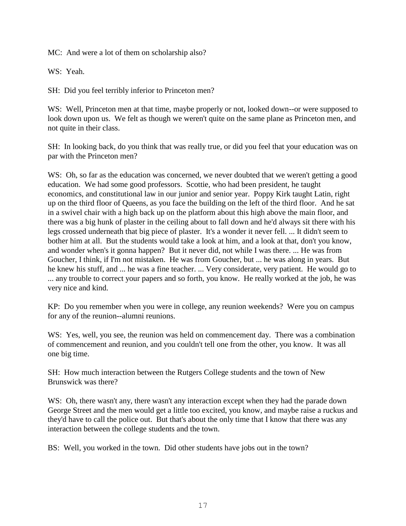MC: And were a lot of them on scholarship also?

WS: Yeah.

SH: Did you feel terribly inferior to Princeton men?

WS: Well, Princeton men at that time, maybe properly or not, looked down--or were supposed to look down upon us. We felt as though we weren't quite on the same plane as Princeton men, and not quite in their class.

SH: In looking back, do you think that was really true, or did you feel that your education was on par with the Princeton men?

WS: Oh, so far as the education was concerned, we never doubted that we weren't getting a good education. We had some good professors. Scottie, who had been president, he taught economics, and constitutional law in our junior and senior year. Poppy Kirk taught Latin, right up on the third floor of Queens, as you face the building on the left of the third floor. And he sat in a swivel chair with a high back up on the platform about this high above the main floor, and there was a big hunk of plaster in the ceiling about to fall down and he'd always sit there with his legs crossed underneath that big piece of plaster. It's a wonder it never fell. ... It didn't seem to bother him at all. But the students would take a look at him, and a look at that, don't you know, and wonder when's it gonna happen? But it never did, not while I was there. ... He was from Goucher, I think, if I'm not mistaken. He was from Goucher, but ... he was along in years. But he knew his stuff, and ... he was a fine teacher. ... Very considerate, very patient. He would go to ... any trouble to correct your papers and so forth, you know. He really worked at the job, he was very nice and kind.

KP: Do you remember when you were in college, any reunion weekends? Were you on campus for any of the reunion--alumni reunions.

WS: Yes, well, you see, the reunion was held on commencement day. There was a combination of commencement and reunion, and you couldn't tell one from the other, you know. It was all one big time.

SH: How much interaction between the Rutgers College students and the town of New Brunswick was there?

WS: Oh, there wasn't any, there wasn't any interaction except when they had the parade down George Street and the men would get a little too excited, you know, and maybe raise a ruckus and they'd have to call the police out. But that's about the only time that I know that there was any interaction between the college students and the town.

BS: Well, you worked in the town. Did other students have jobs out in the town?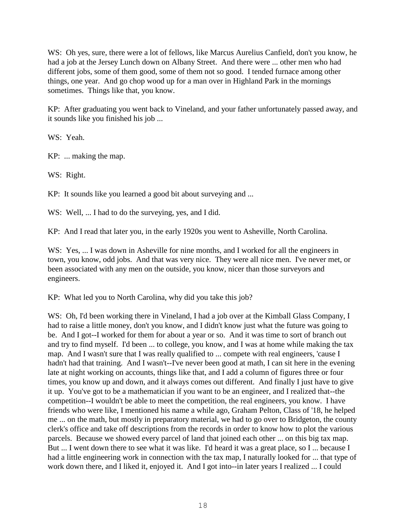WS: Oh yes, sure, there were a lot of fellows, like Marcus Aurelius Canfield, don't you know, he had a job at the Jersey Lunch down on Albany Street. And there were ... other men who had different jobs, some of them good, some of them not so good. I tended furnace among other things, one year. And go chop wood up for a man over in Highland Park in the mornings sometimes. Things like that, you know.

KP: After graduating you went back to Vineland, and your father unfortunately passed away, and it sounds like you finished his job ...

WS: Yeah.

KP: ... making the map.

WS: Right.

KP: It sounds like you learned a good bit about surveying and ...

WS: Well, ... I had to do the surveying, yes, and I did.

KP: And I read that later you, in the early 1920s you went to Asheville, North Carolina.

WS: Yes, ... I was down in Asheville for nine months, and I worked for all the engineers in town, you know, odd jobs. And that was very nice. They were all nice men. I've never met, or been associated with any men on the outside, you know, nicer than those surveyors and engineers.

KP: What led you to North Carolina, why did you take this job?

WS: Oh, I'd been working there in Vineland, I had a job over at the Kimball Glass Company, I had to raise a little money, don't you know, and I didn't know just what the future was going to be. And I got--I worked for them for about a year or so. And it was time to sort of branch out and try to find myself. I'd been ... to college, you know, and I was at home while making the tax map. And I wasn't sure that I was really qualified to ... compete with real engineers, 'cause I hadn't had that training. And I wasn't--I've never been good at math, I can sit here in the evening late at night working on accounts, things like that, and I add a column of figures three or four times, you know up and down, and it always comes out different. And finally I just have to give it up. You've got to be a mathematician if you want to be an engineer, and I realized that--the competition--I wouldn't be able to meet the competition, the real engineers, you know. I have friends who were like, I mentioned his name a while ago, Graham Pelton, Class of '18, he helped me ... on the math, but mostly in preparatory material, we had to go over to Bridgeton, the county clerk's office and take off descriptions from the records in order to know how to plot the various parcels. Because we showed every parcel of land that joined each other ... on this big tax map. But ... I went down there to see what it was like. I'd heard it was a great place, so I ... because I had a little engineering work in connection with the tax map, I naturally looked for ... that type of work down there, and I liked it, enjoyed it. And I got into--in later years I realized ... I could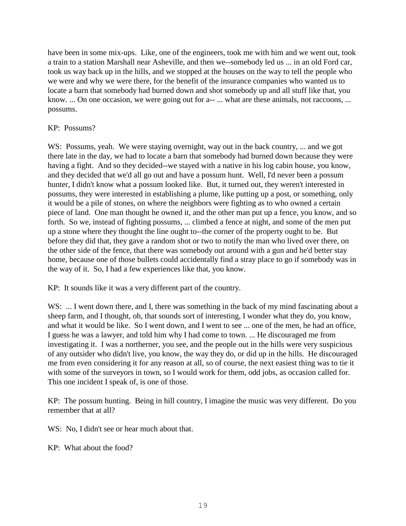have been in some mix-ups. Like, one of the engineers, took me with him and we went out, took a train to a station Marshall near Asheville, and then we--somebody led us ... in an old Ford car, took us way back up in the hills, and we stopped at the houses on the way to tell the people who we were and why we were there, for the benefit of the insurance companies who wanted us to locate a barn that somebody had burned down and shot somebody up and all stuff like that, you know. ... On one occasion, we were going out for a-- ... what are these animals, not raccoons, ... possums.

# KP: Possums?

WS: Possums, yeah. We were staying overnight, way out in the back country, ... and we got there late in the day, we had to locate a barn that somebody had burned down because they were having a fight. And so they decided--we stayed with a native in his log cabin house, you know, and they decided that we'd all go out and have a possum hunt. Well, I'd never been a possum hunter, I didn't know what a possum looked like. But, it turned out, they weren't interested in possums, they were interested in establishing a plume, like putting up a post, or something, only it would be a pile of stones, on where the neighbors were fighting as to who owned a certain piece of land. One man thought he owned it, and the other man put up a fence, you know, and so forth. So we, instead of fighting possums, ... climbed a fence at night, and some of the men put up a stone where they thought the line ought to--the corner of the property ought to be. But before they did that, they gave a random shot or two to notify the man who lived over there, on the other side of the fence, that there was somebody out around with a gun and he'd better stay home, because one of those bullets could accidentally find a stray place to go if somebody was in the way of it. So, I had a few experiences like that, you know.

KP: It sounds like it was a very different part of the country.

WS: ... I went down there, and I, there was something in the back of my mind fascinating about a sheep farm, and I thought, oh, that sounds sort of interesting, I wonder what they do, you know, and what it would be like. So I went down, and I went to see ... one of the men, he had an office, I guess he was a lawyer, and told him why I had come to town. ... He discouraged me from investigating it. I was a northerner, you see, and the people out in the hills were very suspicious of any outsider who didn't live, you know, the way they do, or did up in the hills. He discouraged me from even considering it for any reason at all, so of course, the next easiest thing was to tie it with some of the surveyors in town, so I would work for them, odd jobs, as occasion called for. This one incident I speak of, is one of those.

KP: The possum hunting. Being in hill country, I imagine the music was very different. Do you remember that at all?

WS: No, I didn't see or hear much about that.

KP: What about the food?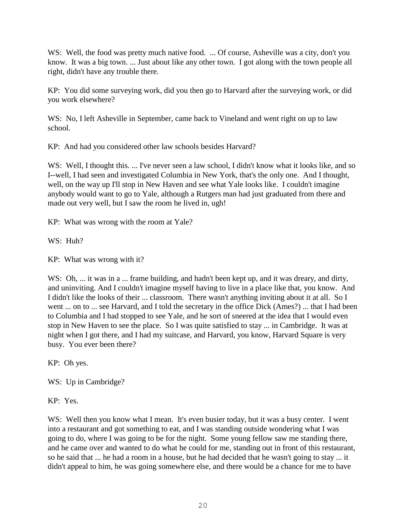WS: Well, the food was pretty much native food. ... Of course, Asheville was a city, don't you know. It was a big town. ... Just about like any other town. I got along with the town people all right, didn't have any trouble there.

KP: You did some surveying work, did you then go to Harvard after the surveying work, or did you work elsewhere?

WS: No, I left Asheville in September, came back to Vineland and went right on up to law school.

KP: And had you considered other law schools besides Harvard?

WS: Well, I thought this. ... I've never seen a law school, I didn't know what it looks like, and so I--well, I had seen and investigated Columbia in New York, that's the only one. And I thought, well, on the way up I'll stop in New Haven and see what Yale looks like. I couldn't imagine anybody would want to go to Yale, although a Rutgers man had just graduated from there and made out very well, but I saw the room he lived in, ugh!

KP: What was wrong with the room at Yale?

WS: Huh?

KP: What was wrong with it?

WS: Oh, ... it was in a ... frame building, and hadn't been kept up, and it was dreary, and dirty, and uninviting. And I couldn't imagine myself having to live in a place like that, you know. And I didn't like the looks of their ... classroom. There wasn't anything inviting about it at all. So I went ... on to ... see Harvard, and I told the secretary in the office Dick (Ames?) ... that I had been to Columbia and I had stopped to see Yale, and he sort of sneered at the idea that I would even stop in New Haven to see the place. So I was quite satisfied to stay ... in Cambridge. It was at night when I got there, and I had my suitcase, and Harvard, you know, Harvard Square is very busy. You ever been there?

KP: Oh yes.

WS: Up in Cambridge?

KP: Yes.

WS: Well then you know what I mean. It's even busier today, but it was a busy center. I went into a restaurant and got something to eat, and I was standing outside wondering what I was going to do, where I was going to be for the night. Some young fellow saw me standing there, and he came over and wanted to do what he could for me, standing out in front of this restaurant, so he said that ... he had a room in a house, but he had decided that he wasn't going to stay ... it didn't appeal to him, he was going somewhere else, and there would be a chance for me to have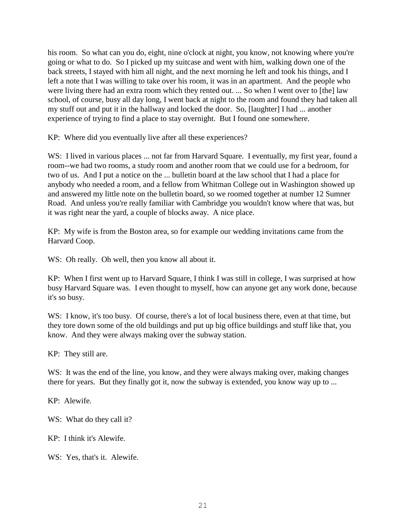his room. So what can you do, eight, nine o'clock at night, you know, not knowing where you're going or what to do. So I picked up my suitcase and went with him, walking down one of the back streets, I stayed with him all night, and the next morning he left and took his things, and I left a note that I was willing to take over his room, it was in an apartment. And the people who were living there had an extra room which they rented out. ... So when I went over to [the] law school, of course, busy all day long, I went back at night to the room and found they had taken all my stuff out and put it in the hallway and locked the door. So, [laughter] I had ... another experience of trying to find a place to stay overnight. But I found one somewhere.

KP: Where did you eventually live after all these experiences?

WS: I lived in various places ... not far from Harvard Square. I eventually, my first year, found a room--we had two rooms, a study room and another room that we could use for a bedroom, for two of us. And I put a notice on the ... bulletin board at the law school that I had a place for anybody who needed a room, and a fellow from Whitman College out in Washington showed up and answered my little note on the bulletin board, so we roomed together at number 12 Sumner Road. And unless you're really familiar with Cambridge you wouldn't know where that was, but it was right near the yard, a couple of blocks away. A nice place.

KP: My wife is from the Boston area, so for example our wedding invitations came from the Harvard Coop.

W.S: Oh really. Oh well, then you know all about it.

KP: When I first went up to Harvard Square, I think I was still in college, I was surprised at how busy Harvard Square was. I even thought to myself, how can anyone get any work done, because it's so busy.

WS: I know, it's too busy. Of course, there's a lot of local business there, even at that time, but they tore down some of the old buildings and put up big office buildings and stuff like that, you know. And they were always making over the subway station.

KP: They still are.

WS: It was the end of the line, you know, and they were always making over, making changes there for years. But they finally got it, now the subway is extended, you know way up to ...

KP: Alewife.

WS: What do they call it?

KP: I think it's Alewife.

WS: Yes, that's it. Alewife.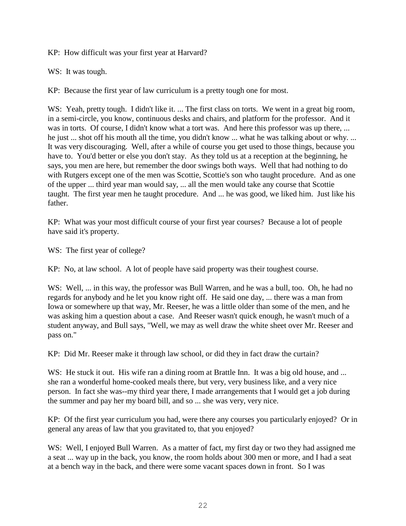KP: How difficult was your first year at Harvard?

WS: It was tough.

KP: Because the first year of law curriculum is a pretty tough one for most.

WS: Yeah, pretty tough. I didn't like it. ... The first class on torts. We went in a great big room, in a semi-circle, you know, continuous desks and chairs, and platform for the professor. And it was in torts. Of course, I didn't know what a tort was. And here this professor was up there, ... he just ... shot off his mouth all the time, you didn't know ... what he was talking about or why. ... It was very discouraging. Well, after a while of course you get used to those things, because you have to. You'd better or else you don't stay. As they told us at a reception at the beginning, he says, you men are here, but remember the door swings both ways. Well that had nothing to do with Rutgers except one of the men was Scottie, Scottie's son who taught procedure. And as one of the upper ... third year man would say, ... all the men would take any course that Scottie taught. The first year men he taught procedure. And ... he was good, we liked him. Just like his father.

KP: What was your most difficult course of your first year courses? Because a lot of people have said it's property.

WS: The first year of college?

KP: No, at law school. A lot of people have said property was their toughest course.

WS: Well, ... in this way, the professor was Bull Warren, and he was a bull, too. Oh, he had no regards for anybody and he let you know right off. He said one day, ... there was a man from Iowa or somewhere up that way, Mr. Reeser, he was a little older than some of the men, and he was asking him a question about a case. And Reeser wasn't quick enough, he wasn't much of a student anyway, and Bull says, "Well, we may as well draw the white sheet over Mr. Reeser and pass on."

KP: Did Mr. Reeser make it through law school, or did they in fact draw the curtain?

WS: He stuck it out. His wife ran a dining room at Brattle Inn. It was a big old house, and ... she ran a wonderful home-cooked meals there, but very, very business like, and a very nice person. In fact she was--my third year there, I made arrangements that I would get a job during the summer and pay her my board bill, and so ... she was very, very nice.

KP: Of the first year curriculum you had, were there any courses you particularly enjoyed? Or in general any areas of law that you gravitated to, that you enjoyed?

WS: Well, I enjoyed Bull Warren. As a matter of fact, my first day or two they had assigned me a seat ... way up in the back, you know, the room holds about 300 men or more, and I had a seat at a bench way in the back, and there were some vacant spaces down in front. So I was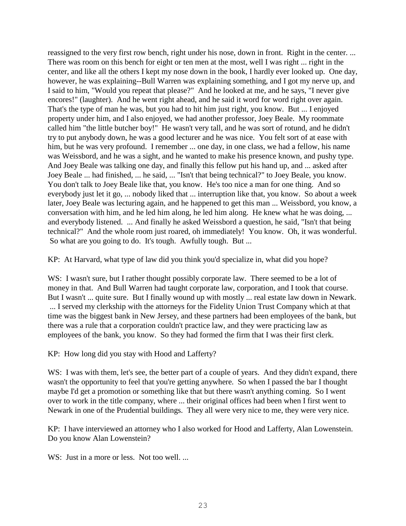reassigned to the very first row bench, right under his nose, down in front. Right in the center. ... There was room on this bench for eight or ten men at the most, well I was right ... right in the center, and like all the others I kept my nose down in the book, I hardly ever looked up. One day, however, he was explaining--Bull Warren was explaining something, and I got my nerve up, and I said to him, "Would you repeat that please?" And he looked at me, and he says, "I never give encores!" (laughter). And he went right ahead, and he said it word for word right over again. That's the type of man he was, but you had to hit him just right, you know. But ... I enjoyed property under him, and I also enjoyed, we had another professor, Joey Beale. My roommate called him "the little butcher boy!" He wasn't very tall, and he was sort of rotund, and he didn't try to put anybody down, he was a good lecturer and he was nice. You felt sort of at ease with him, but he was very profound. I remember ... one day, in one class, we had a fellow, his name was Weissbord, and he was a sight, and he wanted to make his presence known, and pushy type. And Joey Beale was talking one day, and finally this fellow put his hand up, and ... asked after Joey Beale ... had finished, ... he said, ... "Isn't that being technical?" to Joey Beale, you know. You don't talk to Joey Beale like that, you know. He's too nice a man for one thing. And so everybody just let it go, ... nobody liked that ... interruption like that, you know. So about a week later, Joey Beale was lecturing again, and he happened to get this man ... Weissbord, you know, a conversation with him, and he led him along, he led him along. He knew what he was doing, ... and everybody listened. ... And finally he asked Weissbord a question, he said, "Isn't that being technical?" And the whole room just roared, oh immediately! You know. Oh, it was wonderful. So what are you going to do. It's tough. Awfully tough. But ...

KP: At Harvard, what type of law did you think you'd specialize in, what did you hope?

WS: I wasn't sure, but I rather thought possibly corporate law. There seemed to be a lot of money in that. And Bull Warren had taught corporate law, corporation, and I took that course. But I wasn't ... quite sure. But I finally wound up with mostly ... real estate law down in Newark. ... I served my clerkship with the attorneys for the Fidelity Union Trust Company which at that time was the biggest bank in New Jersey, and these partners had been employees of the bank, but there was a rule that a corporation couldn't practice law, and they were practicing law as employees of the bank, you know. So they had formed the firm that I was their first clerk.

KP: How long did you stay with Hood and Lafferty?

WS: I was with them, let's see, the better part of a couple of years. And they didn't expand, there wasn't the opportunity to feel that you're getting anywhere. So when I passed the bar I thought maybe I'd get a promotion or something like that but there wasn't anything coming. So I went over to work in the title company, where ... their original offices had been when I first went to Newark in one of the Prudential buildings. They all were very nice to me, they were very nice.

KP: I have interviewed an attorney who I also worked for Hood and Lafferty, Alan Lowenstein. Do you know Alan Lowenstein?

WS: Just in a more or less. Not too well. ...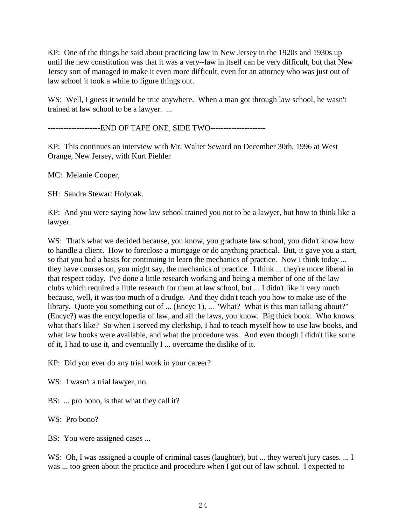KP: One of the things he said about practicing law in New Jersey in the 1920s and 1930s up until the new constitution was that it was a very--law in itself can be very difficult, but that New Jersey sort of managed to make it even more difficult, even for an attorney who was just out of law school it took a while to figure things out.

WS: Well, I guess it would be true anywhere. When a man got through law school, he wasn't trained at law school to be a lawyer. ...

--------------------END OF TAPE ONE, SIDE TWO---------------------

KP: This continues an interview with Mr. Walter Seward on December 30th, 1996 at West Orange, New Jersey, with Kurt Piehler

MC: Melanie Cooper,

SH: Sandra Stewart Holyoak.

KP: And you were saying how law school trained you not to be a lawyer, but how to think like a lawyer.

WS: That's what we decided because, you know, you graduate law school, you didn't know how to handle a client. How to foreclose a mortgage or do anything practical. But, it gave you a start, so that you had a basis for continuing to learn the mechanics of practice. Now I think today ... they have courses on, you might say, the mechanics of practice. I think ... they're more liberal in that respect today. I've done a little research working and being a member of one of the law clubs which required a little research for them at law school, but ... I didn't like it very much because, well, it was too much of a drudge. And they didn't teach you how to make use of the library. Quote you something out of ... (Encyc 1), ... "What? What is this man talking about?" (Encyc?) was the encyclopedia of law, and all the laws, you know. Big thick book. Who knows what that's like? So when I served my clerkship, I had to teach myself how to use law books, and what law books were available, and what the procedure was. And even though I didn't like some of it, I had to use it, and eventually I ... overcame the dislike of it.

KP: Did you ever do any trial work in your career?

WS: I wasn't a trial lawyer, no.

BS: ... pro bono, is that what they call it?

WS: Pro bono?

BS: You were assigned cases ...

WS: Oh, I was assigned a couple of criminal cases (laughter), but ... they weren't jury cases. ... I was ... too green about the practice and procedure when I got out of law school. I expected to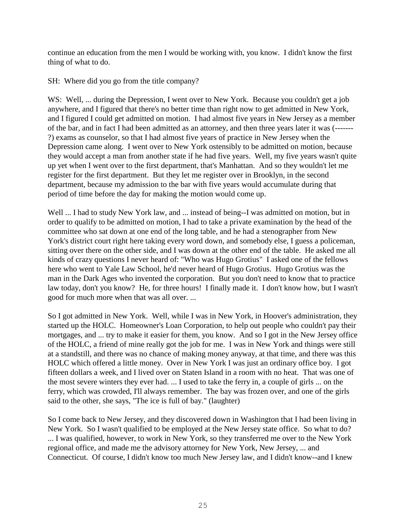continue an education from the men I would be working with, you know. I didn't know the first thing of what to do.

SH: Where did you go from the title company?

WS: Well, ... during the Depression, I went over to New York. Because you couldn't get a job anywhere, and I figured that there's no better time than right now to get admitted in New York, and I figured I could get admitted on motion. I had almost five years in New Jersey as a member of the bar, and in fact I had been admitted as an attorney, and then three years later it was (------- ?) exams as counselor, so that I had almost five years of practice in New Jersey when the Depression came along. I went over to New York ostensibly to be admitted on motion, because they would accept a man from another state if he had five years. Well, my five years wasn't quite up yet when I went over to the first department, that's Manhattan. And so they wouldn't let me register for the first department. But they let me register over in Brooklyn, in the second department, because my admission to the bar with five years would accumulate during that period of time before the day for making the motion would come up.

Well ... I had to study New York law, and ... instead of being--I was admitted on motion, but in order to qualify to be admitted on motion, I had to take a private examination by the head of the committee who sat down at one end of the long table, and he had a stenographer from New York's district court right here taking every word down, and somebody else, I guess a policeman, sitting over there on the other side, and I was down at the other end of the table. He asked me all kinds of crazy questions I never heard of: "Who was Hugo Grotius" I asked one of the fellows here who went to Yale Law School, he'd never heard of Hugo Grotius. Hugo Grotius was the man in the Dark Ages who invented the corporation. But you don't need to know that to practice law today, don't you know? He, for three hours! I finally made it. I don't know how, but I wasn't good for much more when that was all over. ...

So I got admitted in New York. Well, while I was in New York, in Hoover's administration, they started up the HOLC. Homeowner's Loan Corporation, to help out people who couldn't pay their mortgages, and ... try to make it easier for them, you know. And so I got in the New Jersey office of the HOLC, a friend of mine really got the job for me. I was in New York and things were still at a standstill, and there was no chance of making money anyway, at that time, and there was this HOLC which offered a little money. Over in New York I was just an ordinary office boy. I got fifteen dollars a week, and I lived over on Staten Island in a room with no heat. That was one of the most severe winters they ever had. ... I used to take the ferry in, a couple of girls ... on the ferry, which was crowded, I'll always remember. The bay was frozen over, and one of the girls said to the other, she says, "The ice is full of bay." (laughter)

So I come back to New Jersey, and they discovered down in Washington that I had been living in New York. So I wasn't qualified to be employed at the New Jersey state office. So what to do? ... I was qualified, however, to work in New York, so they transferred me over to the New York regional office, and made me the advisory attorney for New York, New Jersey, ... and Connecticut. Of course, I didn't know too much New Jersey law, and I didn't know--and I knew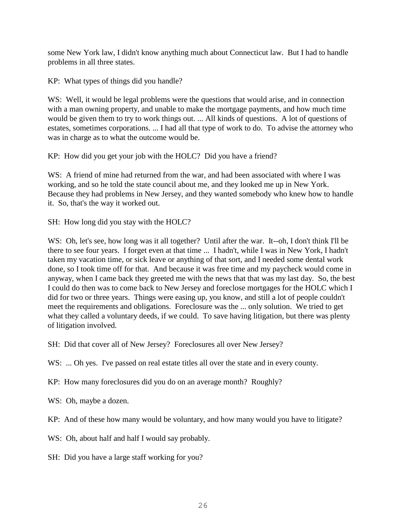some New York law, I didn't know anything much about Connecticut law. But I had to handle problems in all three states.

KP: What types of things did you handle?

WS: Well, it would be legal problems were the questions that would arise, and in connection with a man owning property, and unable to make the mortgage payments, and how much time would be given them to try to work things out. ... All kinds of questions. A lot of questions of estates, sometimes corporations. ... I had all that type of work to do. To advise the attorney who was in charge as to what the outcome would be.

KP: How did you get your job with the HOLC? Did you have a friend?

WS: A friend of mine had returned from the war, and had been associated with where I was working, and so he told the state council about me, and they looked me up in New York. Because they had problems in New Jersey, and they wanted somebody who knew how to handle it. So, that's the way it worked out.

SH: How long did you stay with the HOLC?

WS: Oh, let's see, how long was it all together? Until after the war. It--oh, I don't think I'll be there to see four years. I forget even at that time ... I hadn't, while I was in New York, I hadn't taken my vacation time, or sick leave or anything of that sort, and I needed some dental work done, so I took time off for that. And because it was free time and my paycheck would come in anyway, when I came back they greeted me with the news that that was my last day. So, the best I could do then was to come back to New Jersey and foreclose mortgages for the HOLC which I did for two or three years. Things were easing up, you know, and still a lot of people couldn't meet the requirements and obligations. Foreclosure was the ... only solution. We tried to get what they called a voluntary deeds, if we could. To save having litigation, but there was plenty of litigation involved.

SH: Did that cover all of New Jersey? Foreclosures all over New Jersey?

WS: ... Oh yes. I've passed on real estate titles all over the state and in every county.

KP: How many foreclosures did you do on an average month? Roughly?

WS: Oh, maybe a dozen.

KP: And of these how many would be voluntary, and how many would you have to litigate?

WS: Oh, about half and half I would say probably.

SH: Did you have a large staff working for you?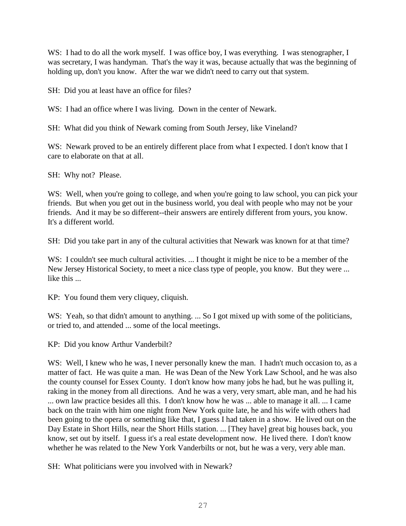WS: I had to do all the work myself. I was office boy, I was everything. I was stenographer, I was secretary, I was handyman. That's the way it was, because actually that was the beginning of holding up, don't you know. After the war we didn't need to carry out that system.

SH: Did you at least have an office for files?

WS: I had an office where I was living. Down in the center of Newark.

SH: What did you think of Newark coming from South Jersey, like Vineland?

WS: Newark proved to be an entirely different place from what I expected. I don't know that I care to elaborate on that at all.

SH: Why not? Please.

WS: Well, when you're going to college, and when you're going to law school, you can pick your friends. But when you get out in the business world, you deal with people who may not be your friends. And it may be so different--their answers are entirely different from yours, you know. It's a different world.

SH: Did you take part in any of the cultural activities that Newark was known for at that time?

WS: I couldn't see much cultural activities. ... I thought it might be nice to be a member of the New Jersey Historical Society, to meet a nice class type of people, you know. But they were ... like this ...

KP: You found them very cliquey, cliquish.

WS: Yeah, so that didn't amount to anything. ... So I got mixed up with some of the politicians, or tried to, and attended ... some of the local meetings.

KP: Did you know Arthur Vanderbilt?

WS: Well, I knew who he was, I never personally knew the man. I hadn't much occasion to, as a matter of fact. He was quite a man. He was Dean of the New York Law School, and he was also the county counsel for Essex County. I don't know how many jobs he had, but he was pulling it, raking in the money from all directions. And he was a very, very smart, able man, and he had his ... own law practice besides all this. I don't know how he was ... able to manage it all. ... I came back on the train with him one night from New York quite late, he and his wife with others had been going to the opera or something like that, I guess I had taken in a show. He lived out on the Day Estate in Short Hills, near the Short Hills station. ... [They have] great big houses back, you know, set out by itself. I guess it's a real estate development now. He lived there. I don't know whether he was related to the New York Vanderbilts or not, but he was a very, very able man.

SH: What politicians were you involved with in Newark?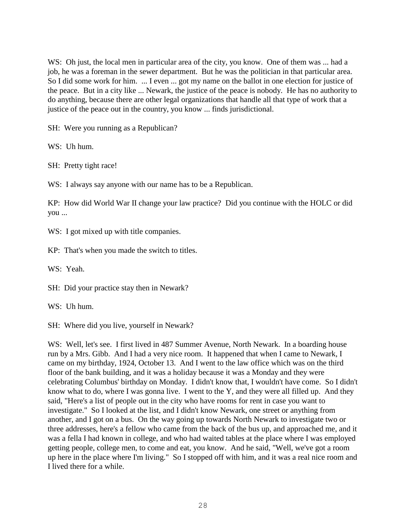WS: Oh just, the local men in particular area of the city, you know. One of them was ... had a job, he was a foreman in the sewer department. But he was the politician in that particular area. So I did some work for him. ... I even ... got my name on the ballot in one election for justice of the peace. But in a city like ... Newark, the justice of the peace is nobody. He has no authority to do anything, because there are other legal organizations that handle all that type of work that a justice of the peace out in the country, you know ... finds jurisdictional.

SH: Were you running as a Republican?

WS: Uh hum.

SH: Pretty tight race!

WS: I always say anyone with our name has to be a Republican.

KP: How did World War II change your law practice? Did you continue with the HOLC or did you ...

WS: I got mixed up with title companies.

KP: That's when you made the switch to titles.

WS: Yeah.

SH: Did your practice stay then in Newark?

WS: Uh hum.

SH: Where did you live, yourself in Newark?

WS: Well, let's see. I first lived in 487 Summer Avenue, North Newark. In a boarding house run by a Mrs. Gibb. And I had a very nice room. It happened that when I came to Newark, I came on my birthday, 1924, October 13. And I went to the law office which was on the third floor of the bank building, and it was a holiday because it was a Monday and they were celebrating Columbus' birthday on Monday. I didn't know that, I wouldn't have come. So I didn't know what to do, where I was gonna live. I went to the Y, and they were all filled up. And they said, "Here's a list of people out in the city who have rooms for rent in case you want to investigate." So I looked at the list, and I didn't know Newark, one street or anything from another, and I got on a bus. On the way going up towards North Newark to investigate two or three addresses, here's a fellow who came from the back of the bus up, and approached me, and it was a fella I had known in college, and who had waited tables at the place where I was employed getting people, college men, to come and eat, you know. And he said, "Well, we've got a room up here in the place where I'm living." So I stopped off with him, and it was a real nice room and I lived there for a while.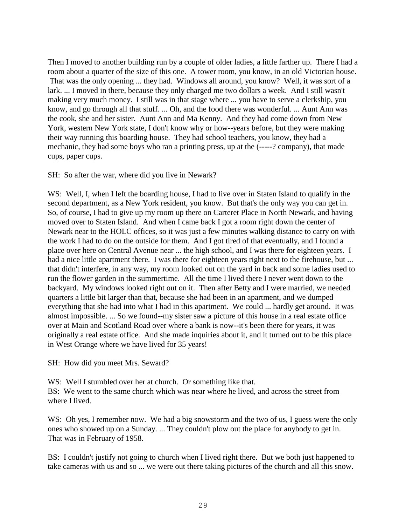Then I moved to another building run by a couple of older ladies, a little farther up. There I had a room about a quarter of the size of this one. A tower room, you know, in an old Victorian house. That was the only opening ... they had. Windows all around, you know? Well, it was sort of a lark. ... I moved in there, because they only charged me two dollars a week. And I still wasn't making very much money. I still was in that stage where ... you have to serve a clerkship, you know, and go through all that stuff. ... Oh, and the food there was wonderful. ... Aunt Ann was the cook, she and her sister. Aunt Ann and Ma Kenny. And they had come down from New York, western New York state, I don't know why or how--years before, but they were making their way running this boarding house. They had school teachers, you know, they had a mechanic, they had some boys who ran a printing press, up at the (-----? company), that made cups, paper cups.

SH: So after the war, where did you live in Newark?

W.S: Well, I, when I left the boarding house, I had to live over in Staten Island to qualify in the second department, as a New York resident, you know. But that's the only way you can get in. So, of course, I had to give up my room up there on Carteret Place in North Newark, and having moved over to Staten Island. And when I came back I got a room right down the center of Newark near to the HOLC offices, so it was just a few minutes walking distance to carry on with the work I had to do on the outside for them. And I got tired of that eventually, and I found a place over here on Central Avenue near ... the high school, and I was there for eighteen years. I had a nice little apartment there. I was there for eighteen years right next to the firehouse, but ... that didn't interfere, in any way, my room looked out on the yard in back and some ladies used to run the flower garden in the summertime. All the time I lived there I never went down to the backyard. My windows looked right out on it. Then after Betty and I were married, we needed quarters a little bit larger than that, because she had been in an apartment, and we dumped everything that she had into what I had in this apartment. We could ... hardly get around. It was almost impossible. ... So we found--my sister saw a picture of this house in a real estate office over at Main and Scotland Road over where a bank is now--it's been there for years, it was originally a real estate office. And she made inquiries about it, and it turned out to be this place in West Orange where we have lived for 35 years!

SH: How did you meet Mrs. Seward?

WS: Well I stumbled over her at church. Or something like that. BS: We went to the same church which was near where he lived, and across the street from where I lived.

WS: Oh yes, I remember now. We had a big snowstorm and the two of us, I guess were the only ones who showed up on a Sunday. ... They couldn't plow out the place for anybody to get in. That was in February of 1958.

BS: I couldn't justify not going to church when I lived right there. But we both just happened to take cameras with us and so ... we were out there taking pictures of the church and all this snow.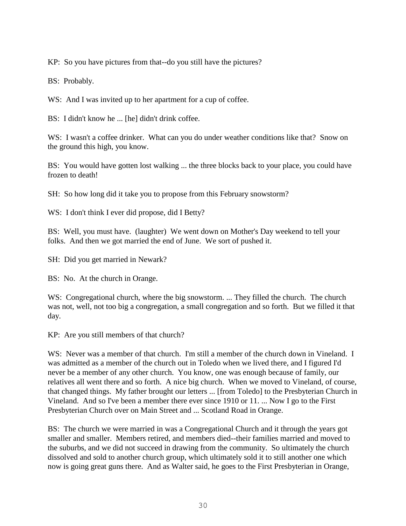KP: So you have pictures from that--do you still have the pictures?

BS: Probably.

WS: And I was invited up to her apartment for a cup of coffee.

BS: I didn't know he ... [he] didn't drink coffee.

WS: I wasn't a coffee drinker. What can you do under weather conditions like that? Snow on the ground this high, you know.

BS: You would have gotten lost walking ... the three blocks back to your place, you could have frozen to death!

SH: So how long did it take you to propose from this February snowstorm?

WS: I don't think I ever did propose, did I Betty?

BS: Well, you must have. (laughter) We went down on Mother's Day weekend to tell your folks. And then we got married the end of June. We sort of pushed it.

SH: Did you get married in Newark?

BS: No. At the church in Orange.

WS: Congregational church, where the big snowstorm. ... They filled the church. The church was not, well, not too big a congregation, a small congregation and so forth. But we filled it that day.

KP: Are you still members of that church?

WS: Never was a member of that church. I'm still a member of the church down in Vineland. I was admitted as a member of the church out in Toledo when we lived there, and I figured I'd never be a member of any other church. You know, one was enough because of family, our relatives all went there and so forth. A nice big church. When we moved to Vineland, of course, that changed things. My father brought our letters ... [from Toledo] to the Presbyterian Church in Vineland. And so I've been a member there ever since 1910 or 11. ... Now I go to the First Presbyterian Church over on Main Street and ... Scotland Road in Orange.

BS: The church we were married in was a Congregational Church and it through the years got smaller and smaller. Members retired, and members died--their families married and moved to the suburbs, and we did not succeed in drawing from the community. So ultimately the church dissolved and sold to another church group, which ultimately sold it to still another one which now is going great guns there. And as Walter said, he goes to the First Presbyterian in Orange,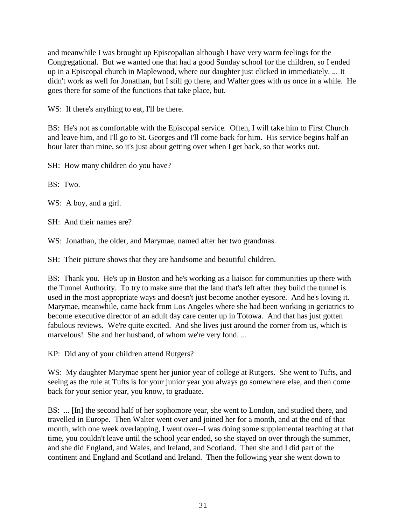and meanwhile I was brought up Episcopalian although I have very warm feelings for the Congregational. But we wanted one that had a good Sunday school for the children, so I ended up in a Episcopal church in Maplewood, where our daughter just clicked in immediately. ... It didn't work as well for Jonathan, but I still go there, and Walter goes with us once in a while. He goes there for some of the functions that take place, but.

WS: If there's anything to eat, I'll be there.

BS: He's not as comfortable with the Episcopal service. Often, I will take him to First Church and leave him, and I'll go to St. Georges and I'll come back for him. His service begins half an hour later than mine, so it's just about getting over when I get back, so that works out.

SH: How many children do you have?

BS: Two.

WS: A boy, and a girl.

SH: And their names are?

WS: Jonathan, the older, and Marymae, named after her two grandmas.

SH: Their picture shows that they are handsome and beautiful children.

BS: Thank you. He's up in Boston and he's working as a liaison for communities up there with the Tunnel Authority. To try to make sure that the land that's left after they build the tunnel is used in the most appropriate ways and doesn't just become another eyesore. And he's loving it. Marymae, meanwhile, came back from Los Angeles where she had been working in geriatrics to become executive director of an adult day care center up in Totowa. And that has just gotten fabulous reviews. We're quite excited. And she lives just around the corner from us, which is marvelous! She and her husband, of whom we're very fond. ...

KP: Did any of your children attend Rutgers?

WS: My daughter Marymae spent her junior year of college at Rutgers. She went to Tufts, and seeing as the rule at Tufts is for your junior year you always go somewhere else, and then come back for your senior year, you know, to graduate.

BS: ... [In] the second half of her sophomore year, she went to London, and studied there, and travelled in Europe. Then Walter went over and joined her for a month, and at the end of that month, with one week overlapping, I went over--I was doing some supplemental teaching at that time, you couldn't leave until the school year ended, so she stayed on over through the summer, and she did England, and Wales, and Ireland, and Scotland. Then she and I did part of the continent and England and Scotland and Ireland. Then the following year she went down to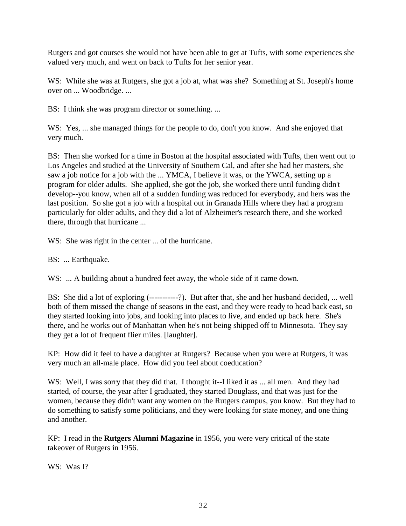Rutgers and got courses she would not have been able to get at Tufts, with some experiences she valued very much, and went on back to Tufts for her senior year.

WS: While she was at Rutgers, she got a job at, what was she? Something at St. Joseph's home over on ... Woodbridge. ...

BS: I think she was program director or something. ...

WS: Yes, ... she managed things for the people to do, don't you know. And she enjoyed that very much.

BS: Then she worked for a time in Boston at the hospital associated with Tufts, then went out to Los Angeles and studied at the University of Southern Cal, and after she had her masters, she saw a job notice for a job with the ... YMCA, I believe it was, or the YWCA, setting up a program for older adults. She applied, she got the job, she worked there until funding didn't develop--you know, when all of a sudden funding was reduced for everybody, and hers was the last position. So she got a job with a hospital out in Granada Hills where they had a program particularly for older adults, and they did a lot of Alzheimer's research there, and she worked there, through that hurricane ...

WS: She was right in the center ... of the hurricane.

BS: ... Earthquake.

WS: ... A building about a hundred feet away, the whole side of it came down.

BS: She did a lot of exploring (-----------?). But after that, she and her husband decided, ... well both of them missed the change of seasons in the east, and they were ready to head back east, so they started looking into jobs, and looking into places to live, and ended up back here. She's there, and he works out of Manhattan when he's not being shipped off to Minnesota. They say they get a lot of frequent flier miles. [laughter].

KP: How did it feel to have a daughter at Rutgers? Because when you were at Rutgers, it was very much an all-male place. How did you feel about coeducation?

WS: Well, I was sorry that they did that. I thought it--I liked it as ... all men. And they had started, of course, the year after I graduated, they started Douglass, and that was just for the women, because they didn't want any women on the Rutgers campus, you know. But they had to do something to satisfy some politicians, and they were looking for state money, and one thing and another.

KP: I read in the **Rutgers Alumni Magazine** in 1956, you were very critical of the state takeover of Rutgers in 1956.

WS: Was I?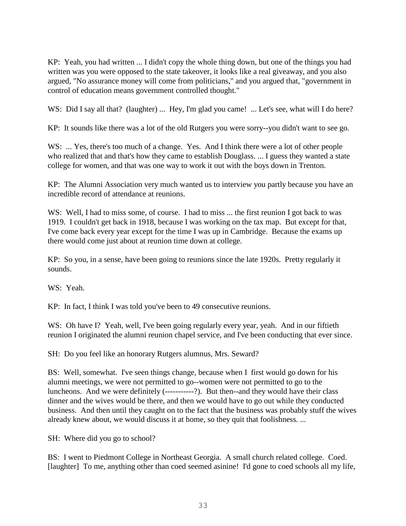KP: Yeah, you had written ... I didn't copy the whole thing down, but one of the things you had written was you were opposed to the state takeover, it looks like a real giveaway, and you also argued, "No assurance money will come from politicians," and you argued that, "government in control of education means government controlled thought."

WS: Did I say all that? (laughter) ... Hey, I'm glad you came! ... Let's see, what will I do here?

KP: It sounds like there was a lot of the old Rutgers you were sorry--you didn't want to see go.

WS: ... Yes, there's too much of a change. Yes. And I think there were a lot of other people who realized that and that's how they came to establish Douglass. ... I guess they wanted a state college for women, and that was one way to work it out with the boys down in Trenton.

KP: The Alumni Association very much wanted us to interview you partly because you have an incredible record of attendance at reunions.

WS: Well, I had to miss some, of course. I had to miss ... the first reunion I got back to was 1919. I couldn't get back in 1918, because I was working on the tax map. But except for that, I've come back every year except for the time I was up in Cambridge. Because the exams up there would come just about at reunion time down at college.

KP: So you, in a sense, have been going to reunions since the late 1920s. Pretty regularly it sounds.

WS: Yeah.

KP: In fact, I think I was told you've been to 49 consecutive reunions.

WS: Oh have I? Yeah, well, I've been going regularly every year, yeah. And in our fiftieth reunion I originated the alumni reunion chapel service, and I've been conducting that ever since.

SH: Do you feel like an honorary Rutgers alumnus, Mrs. Seward?

BS: Well, somewhat. I've seen things change, because when I first would go down for his alumni meetings, we were not permitted to go--women were not permitted to go to the luncheons. And we were definitely (-----------?). But then--and they would have their class dinner and the wives would be there, and then we would have to go out while they conducted business. And then until they caught on to the fact that the business was probably stuff the wives already knew about, we would discuss it at home, so they quit that foolishness. ...

SH: Where did you go to school?

BS: I went to Piedmont College in Northeast Georgia. A small church related college. Coed. [laughter] To me, anything other than coed seemed asinine! I'd gone to coed schools all my life,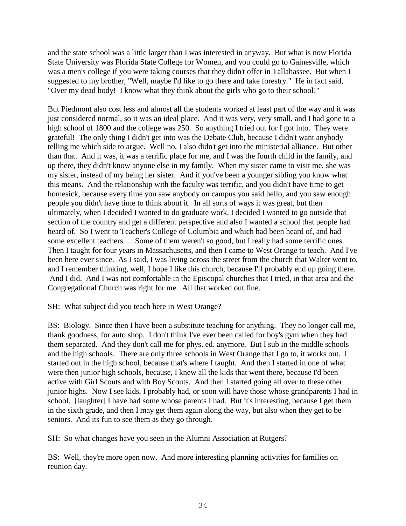and the state school was a little larger than I was interested in anyway. But what is now Florida State University was Florida State College for Women, and you could go to Gainesville, which was a men's college if you were taking courses that they didn't offer in Tallahassee. But when I suggested to my brother, "Well, maybe I'd like to go there and take forestry." He in fact said, "Over my dead body! I know what they think about the girls who go to their school!"

But Piedmont also cost less and almost all the students worked at least part of the way and it was just considered normal, so it was an ideal place. And it was very, very small, and I had gone to a high school of 1800 and the college was 250. So anything I tried out for I got into. They were grateful! The only thing I didn't get into was the Debate Club, because I didn't want anybody telling me which side to argue. Well no, I also didn't get into the ministerial alliance. But other than that. And it was, it was a terrific place for me, and I was the fourth child in the family, and up there, they didn't know anyone else in my family. When my sister came to visit me, she was my sister, instead of my being her sister. And if you've been a younger sibling you know what this means. And the relationship with the faculty was terrific, and you didn't have time to get homesick, because every time you saw anybody on campus you said hello, and you saw enough people you didn't have time to think about it. In all sorts of ways it was great, but then ultimately, when I decided I wanted to do graduate work, I decided I wanted to go outside that section of the country and get a different perspective and also I wanted a school that people had heard of. So I went to Teacher's College of Columbia and which had been heard of, and had some excellent teachers. ... Some of them weren't so good, but I really had some terrific ones. Then I taught for four years in Massachusetts, and then I came to West Orange to teach. And I've been here ever since. As I said, I was living across the street from the church that Walter went to, and I remember thinking, well, I hope I like this church, because I'll probably end up going there. And I did. And I was not comfortable in the Episcopal churches that I tried, in that area and the Congregational Church was right for me. All that worked out fine.

### SH: What subject did you teach here in West Orange?

BS: Biology. Since then I have been a substitute teaching for anything. They no longer call me, thank goodness, for auto shop. I don't think I've ever been called for boy's gym when they had them separated. And they don't call me for phys. ed. anymore. But I sub in the middle schools and the high schools. There are only three schools in West Orange that I go to, it works out. I started out in the high school, because that's where I taught. And then I started in one of what were then junior high schools, because, I knew all the kids that went there, because I'd been active with Girl Scouts and with Boy Scouts. And then I started going all over to these other junior highs. Now I see kids, I probably had, or soon will have those whose grandparents I had in school. [laughter] I have had some whose parents I had. But it's interesting, because I get them in the sixth grade, and then I may get them again along the way, but also when they get to be seniors. And its fun to see them as they go through.

SH: So what changes have you seen in the Alumni Association at Rutgers?

BS: Well, they're more open now. And more interesting planning activities for families on reunion day.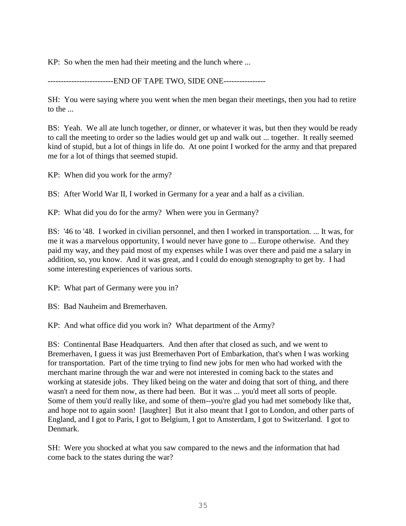KP: So when the men had their meeting and the lunch where ...

-------------------------END OF TAPE TWO, SIDE ONE----------------

SH: You were saying where you went when the men began their meetings, then you had to retire to the ...

BS: Yeah. We all ate lunch together, or dinner, or whatever it was, but then they would be ready to call the meeting to order so the ladies would get up and walk out ... together. It really seemed kind of stupid, but a lot of things in life do. At one point I worked for the army and that prepared me for a lot of things that seemed stupid.

KP: When did you work for the army?

BS: After World War II, I worked in Germany for a year and a half as a civilian.

KP: What did you do for the army? When were you in Germany?

BS: '46 to '48. I worked in civilian personnel, and then I worked in transportation. ... It was, for me it was a marvelous opportunity, I would never have gone to ... Europe otherwise. And they paid my way, and they paid most of my expenses while I was over there and paid me a salary in addition, so, you know. And it was great, and I could do enough stenography to get by. I had some interesting experiences of various sorts.

KP: What part of Germany were you in?

BS: Bad Nauheim and Bremerhaven.

KP: And what office did you work in? What department of the Army?

BS: Continental Base Headquarters. And then after that closed as such, and we went to Bremerhaven, I guess it was just Bremerhaven Port of Embarkation, that's when I was working for transportation. Part of the time trying to find new jobs for men who had worked with the merchant marine through the war and were not interested in coming back to the states and working at stateside jobs. They liked being on the water and doing that sort of thing, and there wasn't a need for them now, as there had been. But it was ... you'd meet all sorts of people. Some of them you'd really like, and some of them--you're glad you had met somebody like that, and hope not to again soon! [laughter] But it also meant that I got to London, and other parts of England, and I got to Paris, I got to Belgium, I got to Amsterdam, I got to Switzerland. I got to Denmark.

SH: Were you shocked at what you saw compared to the news and the information that had come back to the states during the war?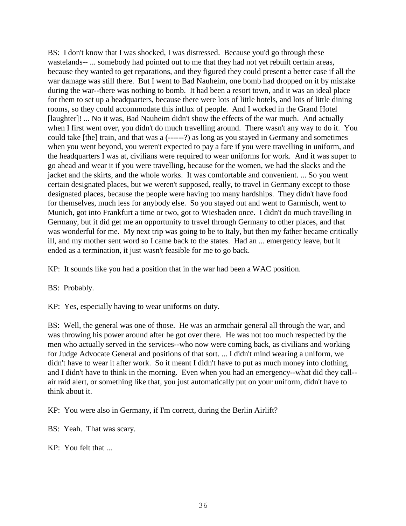BS: I don't know that I was shocked, I was distressed. Because you'd go through these wastelands-- ... somebody had pointed out to me that they had not yet rebuilt certain areas, because they wanted to get reparations, and they figured they could present a better case if all the war damage was still there. But I went to Bad Nauheim, one bomb had dropped on it by mistake during the war--there was nothing to bomb. It had been a resort town, and it was an ideal place for them to set up a headquarters, because there were lots of little hotels, and lots of little dining rooms, so they could accommodate this influx of people. And I worked in the Grand Hotel [laughter]! ... No it was, Bad Nauheim didn't show the effects of the war much. And actually when I first went over, you didn't do much travelling around. There wasn't any way to do it. You could take [the] train, and that was a (------?) as long as you stayed in Germany and sometimes when you went beyond, you weren't expected to pay a fare if you were travelling in uniform, and the headquarters I was at, civilians were required to wear uniforms for work. And it was super to go ahead and wear it if you were travelling, because for the women, we had the slacks and the jacket and the skirts, and the whole works. It was comfortable and convenient. ... So you went certain designated places, but we weren't supposed, really, to travel in Germany except to those designated places, because the people were having too many hardships. They didn't have food for themselves, much less for anybody else. So you stayed out and went to Garmisch, went to Munich, got into Frankfurt a time or two, got to Wiesbaden once. I didn't do much travelling in Germany, but it did get me an opportunity to travel through Germany to other places, and that was wonderful for me. My next trip was going to be to Italy, but then my father became critically ill, and my mother sent word so I came back to the states. Had an ... emergency leave, but it ended as a termination, it just wasn't feasible for me to go back.

KP: It sounds like you had a position that in the war had been a WAC position.

BS: Probably.

KP: Yes, especially having to wear uniforms on duty.

BS: Well, the general was one of those. He was an armchair general all through the war, and was throwing his power around after he got over there. He was not too much respected by the men who actually served in the services--who now were coming back, as civilians and working for Judge Advocate General and positions of that sort. ... I didn't mind wearing a uniform, we didn't have to wear it after work. So it meant I didn't have to put as much money into clothing, and I didn't have to think in the morning. Even when you had an emergency--what did they call- air raid alert, or something like that, you just automatically put on your uniform, didn't have to think about it.

KP: You were also in Germany, if I'm correct, during the Berlin Airlift?

BS: Yeah. That was scary.

KP: You felt that ...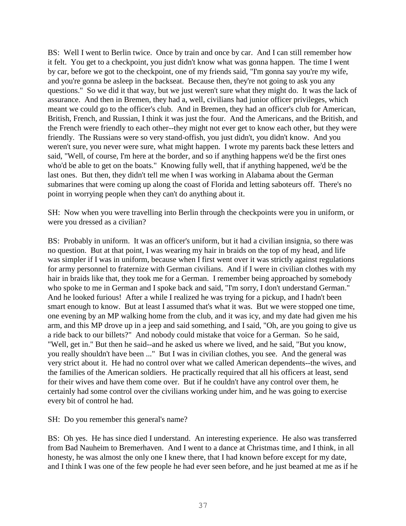BS: Well I went to Berlin twice. Once by train and once by car. And I can still remember how it felt. You get to a checkpoint, you just didn't know what was gonna happen. The time I went by car, before we got to the checkpoint, one of my friends said, "I'm gonna say you're my wife, and you're gonna be asleep in the backseat. Because then, they're not going to ask you any questions." So we did it that way, but we just weren't sure what they might do. It was the lack of assurance. And then in Bremen, they had a, well, civilians had junior officer privileges, which meant we could go to the officer's club. And in Bremen, they had an officer's club for American, British, French, and Russian, I think it was just the four. And the Americans, and the British, and the French were friendly to each other--they might not ever get to know each other, but they were friendly. The Russians were so very stand-offish, you just didn't, you didn't know. And you weren't sure, you never were sure, what might happen. I wrote my parents back these letters and said, "Well, of course, I'm here at the border, and so if anything happens we'd be the first ones who'd be able to get on the boats." Knowing fully well, that if anything happened, we'd be the last ones. But then, they didn't tell me when I was working in Alabama about the German submarines that were coming up along the coast of Florida and letting saboteurs off. There's no point in worrying people when they can't do anything about it.

SH: Now when you were travelling into Berlin through the checkpoints were you in uniform, or were you dressed as a civilian?

BS: Probably in uniform. It was an officer's uniform, but it had a civilian insignia, so there was no question. But at that point, I was wearing my hair in braids on the top of my head, and life was simpler if I was in uniform, because when I first went over it was strictly against regulations for army personnel to fraternize with German civilians. And if I were in civilian clothes with my hair in braids like that, they took me for a German. I remember being approached by somebody who spoke to me in German and I spoke back and said, "I'm sorry, I don't understand German." And he looked furious! After a while I realized he was trying for a pickup, and I hadn't been smart enough to know. But at least I assumed that's what it was. But we were stopped one time, one evening by an MP walking home from the club, and it was icy, and my date had given me his arm, and this MP drove up in a jeep and said something, and I said, "Oh, are you going to give us a ride back to our billets?" And nobody could mistake that voice for a German. So he said, "Well, get in." But then he said--and he asked us where we lived, and he said, "But you know, you really shouldn't have been ..." But I was in civilian clothes, you see. And the general was very strict about it. He had no control over what we called American dependents--the wives, and the families of the American soldiers. He practically required that all his officers at least, send for their wives and have them come over. But if he couldn't have any control over them, he certainly had some control over the civilians working under him, and he was going to exercise every bit of control he had.

SH: Do you remember this general's name?

BS: Oh yes. He has since died I understand. An interesting experience. He also was transferred from Bad Nauheim to Bremerhaven. And I went to a dance at Christmas time, and I think, in all honesty, he was almost the only one I knew there, that I had known before except for my date, and I think I was one of the few people he had ever seen before, and he just beamed at me as if he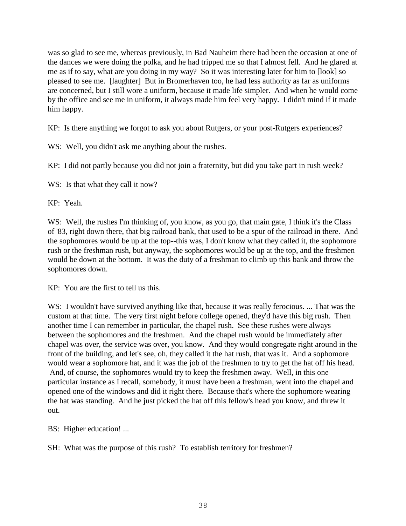was so glad to see me, whereas previously, in Bad Nauheim there had been the occasion at one of the dances we were doing the polka, and he had tripped me so that I almost fell. And he glared at me as if to say, what are you doing in my way? So it was interesting later for him to [look] so pleased to see me. [laughter] But in Bromerhaven too, he had less authority as far as uniforms are concerned, but I still wore a uniform, because it made life simpler. And when he would come by the office and see me in uniform, it always made him feel very happy. I didn't mind if it made him happy.

KP: Is there anything we forgot to ask you about Rutgers, or your post-Rutgers experiences?

WS: Well, you didn't ask me anything about the rushes.

KP: I did not partly because you did not join a fraternity, but did you take part in rush week?

WS: Is that what they call it now?

KP: Yeah.

WS: Well, the rushes I'm thinking of, you know, as you go, that main gate, I think it's the Class of '83, right down there, that big railroad bank, that used to be a spur of the railroad in there. And the sophomores would be up at the top--this was, I don't know what they called it, the sophomore rush or the freshman rush, but anyway, the sophomores would be up at the top, and the freshmen would be down at the bottom. It was the duty of a freshman to climb up this bank and throw the sophomores down.

KP: You are the first to tell us this.

W.S: I wouldn't have survived anything like that, because it was really ferocious. ... That was the custom at that time. The very first night before college opened, they'd have this big rush. Then another time I can remember in particular, the chapel rush. See these rushes were always between the sophomores and the freshmen. And the chapel rush would be immediately after chapel was over, the service was over, you know. And they would congregate right around in the front of the building, and let's see, oh, they called it the hat rush, that was it. And a sophomore would wear a sophomore hat, and it was the job of the freshmen to try to get the hat off his head. And, of course, the sophomores would try to keep the freshmen away. Well, in this one particular instance as I recall, somebody, it must have been a freshman, went into the chapel and opened one of the windows and did it right there. Because that's where the sophomore wearing the hat was standing. And he just picked the hat off this fellow's head you know, and threw it out.

BS: Higher education! ...

SH: What was the purpose of this rush? To establish territory for freshmen?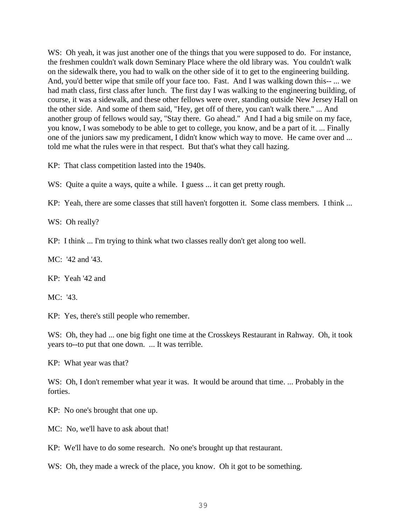WS: Oh yeah, it was just another one of the things that you were supposed to do. For instance, the freshmen couldn't walk down Seminary Place where the old library was. You couldn't walk on the sidewalk there, you had to walk on the other side of it to get to the engineering building. And, you'd better wipe that smile off your face too. Fast. And I was walking down this-- ... we had math class, first class after lunch. The first day I was walking to the engineering building, of course, it was a sidewalk, and these other fellows were over, standing outside New Jersey Hall on the other side. And some of them said, "Hey, get off of there, you can't walk there." ... And another group of fellows would say, "Stay there. Go ahead." And I had a big smile on my face, you know, I was somebody to be able to get to college, you know, and be a part of it. ... Finally one of the juniors saw my predicament, I didn't know which way to move. He came over and ... told me what the rules were in that respect. But that's what they call hazing.

KP: That class competition lasted into the 1940s.

WS: Quite a quite a ways, quite a while. I guess ... it can get pretty rough.

KP: Yeah, there are some classes that still haven't forgotten it. Some class members. I think ...

WS: Oh really?

KP: I think ... I'm trying to think what two classes really don't get along too well.

MC: '42 and '43.

KP: Yeah '42 and

MC: '43.

KP: Yes, there's still people who remember.

WS: Oh, they had ... one big fight one time at the Crosskeys Restaurant in Rahway. Oh, it took years to--to put that one down. ... It was terrible.

KP: What year was that?

WS: Oh, I don't remember what year it was. It would be around that time. ... Probably in the forties.

KP: No one's brought that one up.

MC: No, we'll have to ask about that!

KP: We'll have to do some research. No one's brought up that restaurant.

WS: Oh, they made a wreck of the place, you know. Oh it got to be something.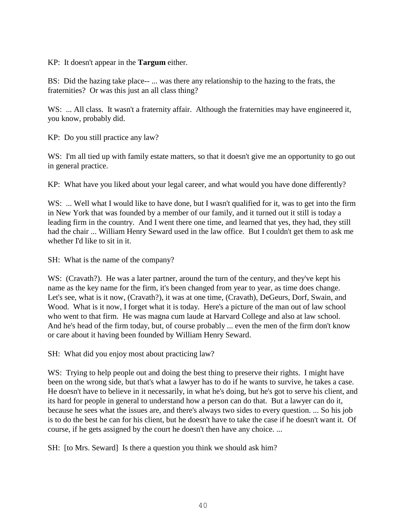KP: It doesn't appear in the **Targum** either.

BS: Did the hazing take place-- ... was there any relationship to the hazing to the frats, the fraternities? Or was this just an all class thing?

WS: ... All class. It wasn't a fraternity affair. Although the fraternities may have engineered it, you know, probably did.

KP: Do you still practice any law?

WS: I'm all tied up with family estate matters, so that it doesn't give me an opportunity to go out in general practice.

KP: What have you liked about your legal career, and what would you have done differently?

WS: ... Well what I would like to have done, but I wasn't qualified for it, was to get into the firm in New York that was founded by a member of our family, and it turned out it still is today a leading firm in the country. And I went there one time, and learned that yes, they had, they still had the chair ... William Henry Seward used in the law office. But I couldn't get them to ask me whether I'd like to sit in it.

SH: What is the name of the company?

WS: (Cravath?). He was a later partner, around the turn of the century, and they've kept his name as the key name for the firm, it's been changed from year to year, as time does change. Let's see, what is it now, (Cravath?), it was at one time, (Cravath), DeGeurs, Dorf, Swain, and Wood. What is it now, I forget what it is today. Here's a picture of the man out of law school who went to that firm. He was magna cum laude at Harvard College and also at law school. And he's head of the firm today, but, of course probably ... even the men of the firm don't know or care about it having been founded by William Henry Seward.

SH: What did you enjoy most about practicing law?

W.S: Trying to help people out and doing the best thing to preserve their rights. I might have been on the wrong side, but that's what a lawyer has to do if he wants to survive, he takes a case. He doesn't have to believe in it necessarily, in what he's doing, but he's got to serve his client, and its hard for people in general to understand how a person can do that. But a lawyer can do it, because he sees what the issues are, and there's always two sides to every question. ... So his job is to do the best he can for his client, but he doesn't have to take the case if he doesn't want it. Of course, if he gets assigned by the court he doesn't then have any choice. ...

SH: [to Mrs. Seward] Is there a question you think we should ask him?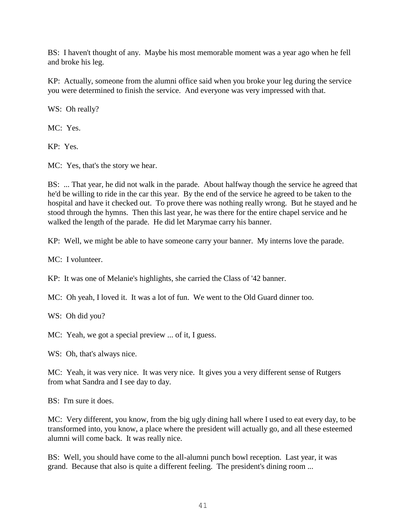BS: I haven't thought of any. Maybe his most memorable moment was a year ago when he fell and broke his leg.

KP: Actually, someone from the alumni office said when you broke your leg during the service you were determined to finish the service. And everyone was very impressed with that.

WS: Oh really?

MC: Yes.

KP: Yes.

MC: Yes, that's the story we hear.

BS: ... That year, he did not walk in the parade. About halfway though the service he agreed that he'd be willing to ride in the car this year. By the end of the service he agreed to be taken to the hospital and have it checked out. To prove there was nothing really wrong. But he stayed and he stood through the hymns. Then this last year, he was there for the entire chapel service and he walked the length of the parade. He did let Marymae carry his banner.

KP: Well, we might be able to have someone carry your banner. My interns love the parade.

MC: I volunteer.

KP: It was one of Melanie's highlights, she carried the Class of '42 banner.

MC: Oh yeah, I loved it. It was a lot of fun. We went to the Old Guard dinner too.

WS: Oh did you?

MC: Yeah, we got a special preview ... of it, I guess.

WS: Oh, that's always nice.

MC: Yeah, it was very nice. It was very nice. It gives you a very different sense of Rutgers from what Sandra and I see day to day.

BS: I'm sure it does.

MC: Very different, you know, from the big ugly dining hall where I used to eat every day, to be transformed into, you know, a place where the president will actually go, and all these esteemed alumni will come back. It was really nice.

BS: Well, you should have come to the all-alumni punch bowl reception. Last year, it was grand. Because that also is quite a different feeling. The president's dining room ...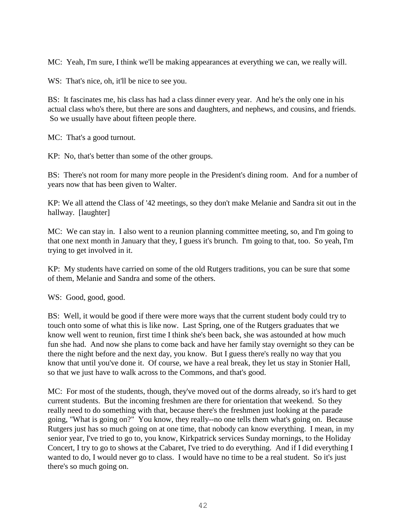MC: Yeah, I'm sure, I think we'll be making appearances at everything we can, we really will.

WS: That's nice, oh, it'll be nice to see you.

BS: It fascinates me, his class has had a class dinner every year. And he's the only one in his actual class who's there, but there are sons and daughters, and nephews, and cousins, and friends. So we usually have about fifteen people there.

MC: That's a good turnout.

KP: No, that's better than some of the other groups.

BS: There's not room for many more people in the President's dining room. And for a number of years now that has been given to Walter.

KP: We all attend the Class of '42 meetings, so they don't make Melanie and Sandra sit out in the hallway. [laughter]

MC: We can stay in. I also went to a reunion planning committee meeting, so, and I'm going to that one next month in January that they, I guess it's brunch. I'm going to that, too. So yeah, I'm trying to get involved in it.

KP: My students have carried on some of the old Rutgers traditions, you can be sure that some of them, Melanie and Sandra and some of the others.

WS: Good, good, good.

BS: Well, it would be good if there were more ways that the current student body could try to touch onto some of what this is like now. Last Spring, one of the Rutgers graduates that we know well went to reunion, first time I think she's been back, she was astounded at how much fun she had. And now she plans to come back and have her family stay overnight so they can be there the night before and the next day, you know. But I guess there's really no way that you know that until you've done it. Of course, we have a real break, they let us stay in Stonier Hall, so that we just have to walk across to the Commons, and that's good.

MC: For most of the students, though, they've moved out of the dorms already, so it's hard to get current students. But the incoming freshmen are there for orientation that weekend. So they really need to do something with that, because there's the freshmen just looking at the parade going, "What is going on?" You know, they really--no one tells them what's going on. Because Rutgers just has so much going on at one time, that nobody can know everything. I mean, in my senior year, I've tried to go to, you know, Kirkpatrick services Sunday mornings, to the Holiday Concert, I try to go to shows at the Cabaret, I've tried to do everything. And if I did everything I wanted to do, I would never go to class. I would have no time to be a real student. So it's just there's so much going on.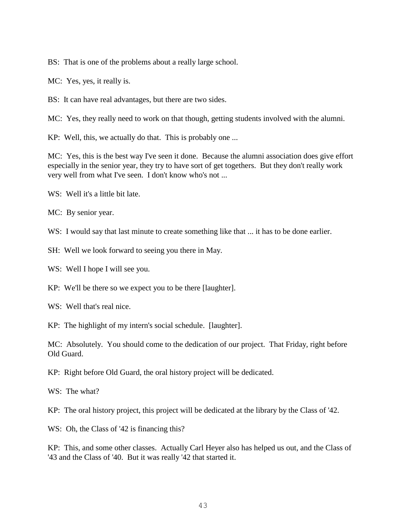BS: That is one of the problems about a really large school.

MC: Yes, yes, it really is.

BS: It can have real advantages, but there are two sides.

MC: Yes, they really need to work on that though, getting students involved with the alumni.

KP: Well, this, we actually do that. This is probably one ...

MC: Yes, this is the best way I've seen it done. Because the alumni association does give effort especially in the senior year, they try to have sort of get togethers. But they don't really work very well from what I've seen. I don't know who's not ...

WS: Well it's a little bit late.

MC: By senior year.

WS: I would say that last minute to create something like that ... it has to be done earlier.

SH: Well we look forward to seeing you there in May.

WS: Well I hope I will see you.

KP: We'll be there so we expect you to be there [laughter].

WS: Well that's real nice.

KP: The highlight of my intern's social schedule. [laughter].

MC: Absolutely. You should come to the dedication of our project. That Friday, right before Old Guard.

KP: Right before Old Guard, the oral history project will be dedicated.

WS: The what?

KP: The oral history project, this project will be dedicated at the library by the Class of '42.

WS: Oh, the Class of '42 is financing this?

KP: This, and some other classes. Actually Carl Heyer also has helped us out, and the Class of '43 and the Class of '40. But it was really '42 that started it.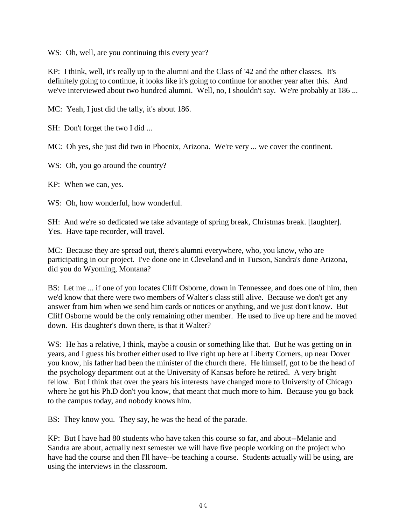WS: Oh, well, are you continuing this every year?

KP: I think, well, it's really up to the alumni and the Class of '42 and the other classes. It's definitely going to continue, it looks like it's going to continue for another year after this. And we've interviewed about two hundred alumni. Well, no, I shouldn't say. We're probably at 186 ...

MC: Yeah, I just did the tally, it's about 186.

SH: Don't forget the two I did ...

MC: Oh yes, she just did two in Phoenix, Arizona. We're very ... we cover the continent.

WS: Oh, you go around the country?

KP: When we can, yes.

WS: Oh, how wonderful, how wonderful.

SH: And we're so dedicated we take advantage of spring break, Christmas break. [laughter]. Yes. Have tape recorder, will travel.

MC: Because they are spread out, there's alumni everywhere, who, you know, who are participating in our project. I've done one in Cleveland and in Tucson, Sandra's done Arizona, did you do Wyoming, Montana?

BS: Let me ... if one of you locates Cliff Osborne, down in Tennessee, and does one of him, then we'd know that there were two members of Walter's class still alive. Because we don't get any answer from him when we send him cards or notices or anything, and we just don't know. But Cliff Osborne would be the only remaining other member. He used to live up here and he moved down. His daughter's down there, is that it Walter?

WS: He has a relative, I think, maybe a cousin or something like that. But he was getting on in years, and I guess his brother either used to live right up here at Liberty Corners, up near Dover you know, his father had been the minister of the church there. He himself, got to be the head of the psychology department out at the University of Kansas before he retired. A very bright fellow. But I think that over the years his interests have changed more to University of Chicago where he got his Ph.D don't you know, that meant that much more to him. Because you go back to the campus today, and nobody knows him.

BS: They know you. They say, he was the head of the parade.

KP: But I have had 80 students who have taken this course so far, and about--Melanie and Sandra are about, actually next semester we will have five people working on the project who have had the course and then I'll have--be teaching a course. Students actually will be using, are using the interviews in the classroom.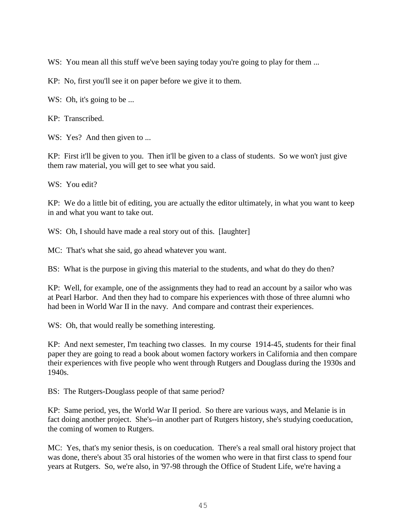WS: You mean all this stuff we've been saying today you're going to play for them ...

KP: No, first you'll see it on paper before we give it to them.

WS: Oh, it's going to be ...

KP: Transcribed.

WS: Yes? And then given to ...

KP: First it'll be given to you. Then it'll be given to a class of students. So we won't just give them raw material, you will get to see what you said.

WS: You edit?

KP: We do a little bit of editing, you are actually the editor ultimately, in what you want to keep in and what you want to take out.

WS: Oh, I should have made a real story out of this. [laughter]

MC: That's what she said, go ahead whatever you want.

BS: What is the purpose in giving this material to the students, and what do they do then?

KP: Well, for example, one of the assignments they had to read an account by a sailor who was at Pearl Harbor. And then they had to compare his experiences with those of three alumni who had been in World War II in the navy. And compare and contrast their experiences.

W.S: Oh, that would really be something interesting.

KP: And next semester, I'm teaching two classes. In my course 1914-45, students for their final paper they are going to read a book about women factory workers in California and then compare their experiences with five people who went through Rutgers and Douglass during the 1930s and 1940s.

BS: The Rutgers-Douglass people of that same period?

KP: Same period, yes, the World War II period. So there are various ways, and Melanie is in fact doing another project. She's--in another part of Rutgers history, she's studying coeducation, the coming of women to Rutgers.

MC: Yes, that's my senior thesis, is on coeducation. There's a real small oral history project that was done, there's about 35 oral histories of the women who were in that first class to spend four years at Rutgers. So, we're also, in '97-98 through the Office of Student Life, we're having a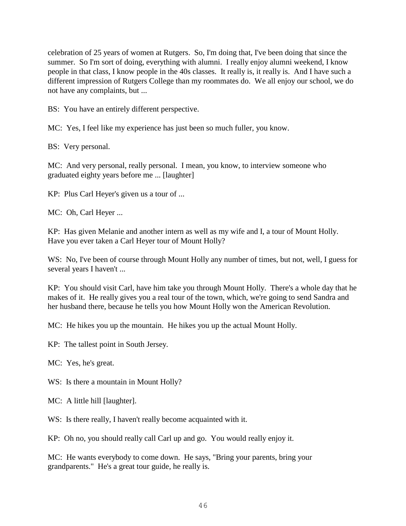celebration of 25 years of women at Rutgers. So, I'm doing that, I've been doing that since the summer. So I'm sort of doing, everything with alumni. I really enjoy alumni weekend, I know people in that class, I know people in the 40s classes. It really is, it really is. And I have such a different impression of Rutgers College than my roommates do. We all enjoy our school, we do not have any complaints, but ...

BS: You have an entirely different perspective.

MC: Yes, I feel like my experience has just been so much fuller, you know.

BS: Very personal.

MC: And very personal, really personal. I mean, you know, to interview someone who graduated eighty years before me ... [laughter]

KP: Plus Carl Heyer's given us a tour of ...

MC: Oh, Carl Heyer ...

KP: Has given Melanie and another intern as well as my wife and I, a tour of Mount Holly. Have you ever taken a Carl Heyer tour of Mount Holly?

WS: No, I've been of course through Mount Holly any number of times, but not, well, I guess for several years I haven't ...

KP: You should visit Carl, have him take you through Mount Holly. There's a whole day that he makes of it. He really gives you a real tour of the town, which, we're going to send Sandra and her husband there, because he tells you how Mount Holly won the American Revolution.

MC: He hikes you up the mountain. He hikes you up the actual Mount Holly.

KP: The tallest point in South Jersey.

MC: Yes, he's great.

WS: Is there a mountain in Mount Holly?

MC: A little hill [laughter].

WS: Is there really, I haven't really become acquainted with it.

KP: Oh no, you should really call Carl up and go. You would really enjoy it.

MC: He wants everybody to come down. He says, "Bring your parents, bring your grandparents." He's a great tour guide, he really is.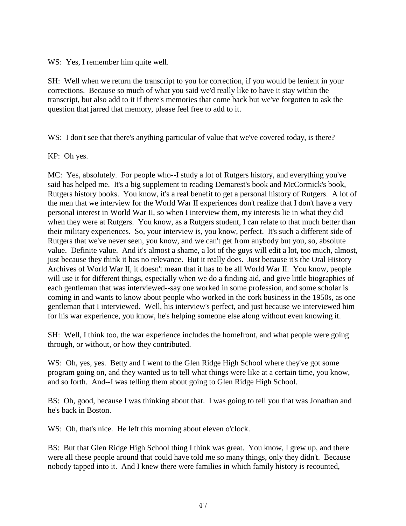WS: Yes, I remember him quite well.

SH: Well when we return the transcript to you for correction, if you would be lenient in your corrections. Because so much of what you said we'd really like to have it stay within the transcript, but also add to it if there's memories that come back but we've forgotten to ask the question that jarred that memory, please feel free to add to it.

WS: I don't see that there's anything particular of value that we've covered today, is there?

KP: Oh yes.

MC: Yes, absolutely. For people who--I study a lot of Rutgers history, and everything you've said has helped me. It's a big supplement to reading Demarest's book and McCormick's book, Rutgers history books. You know, it's a real benefit to get a personal history of Rutgers. A lot of the men that we interview for the World War II experiences don't realize that I don't have a very personal interest in World War II, so when I interview them, my interests lie in what they did when they were at Rutgers. You know, as a Rutgers student, I can relate to that much better than their military experiences. So, your interview is, you know, perfect. It's such a different side of Rutgers that we've never seen, you know, and we can't get from anybody but you, so, absolute value. Definite value. And it's almost a shame, a lot of the guys will edit a lot, too much, almost, just because they think it has no relevance. But it really does. Just because it's the Oral History Archives of World War II, it doesn't mean that it has to be all World War II. You know, people will use it for different things, especially when we do a finding aid, and give little biographies of each gentleman that was interviewed--say one worked in some profession, and some scholar is coming in and wants to know about people who worked in the cork business in the 1950s, as one gentleman that I interviewed. Well, his interview's perfect, and just because we interviewed him for his war experience, you know, he's helping someone else along without even knowing it.

SH: Well, I think too, the war experience includes the homefront, and what people were going through, or without, or how they contributed.

WS: Oh, yes, yes. Betty and I went to the Glen Ridge High School where they've got some program going on, and they wanted us to tell what things were like at a certain time, you know, and so forth. And--I was telling them about going to Glen Ridge High School.

BS: Oh, good, because I was thinking about that. I was going to tell you that was Jonathan and he's back in Boston.

WS: Oh, that's nice. He left this morning about eleven o'clock.

BS: But that Glen Ridge High School thing I think was great. You know, I grew up, and there were all these people around that could have told me so many things, only they didn't. Because nobody tapped into it. And I knew there were families in which family history is recounted,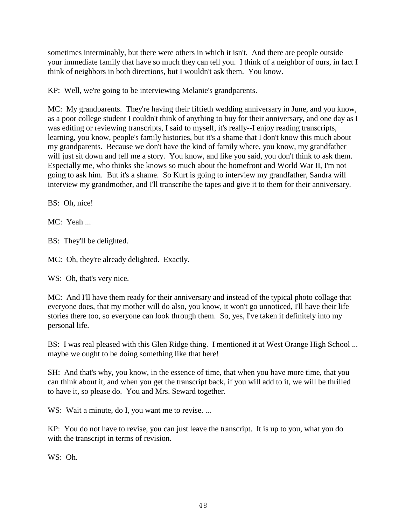sometimes interminably, but there were others in which it isn't. And there are people outside your immediate family that have so much they can tell you. I think of a neighbor of ours, in fact I think of neighbors in both directions, but I wouldn't ask them. You know.

KP: Well, we're going to be interviewing Melanie's grandparents.

MC: My grandparents. They're having their fiftieth wedding anniversary in June, and you know, as a poor college student I couldn't think of anything to buy for their anniversary, and one day as I was editing or reviewing transcripts, I said to myself, it's really--I enjoy reading transcripts, learning, you know, people's family histories, but it's a shame that I don't know this much about my grandparents. Because we don't have the kind of family where, you know, my grandfather will just sit down and tell me a story. You know, and like you said, you don't think to ask them. Especially me, who thinks she knows so much about the homefront and World War II, I'm not going to ask him. But it's a shame. So Kurt is going to interview my grandfather, Sandra will interview my grandmother, and I'll transcribe the tapes and give it to them for their anniversary.

BS: Oh, nice!

MC: Yeah ...

BS: They'll be delighted.

MC: Oh, they're already delighted. Exactly.

WS: Oh, that's very nice.

MC: And I'll have them ready for their anniversary and instead of the typical photo collage that everyone does, that my mother will do also, you know, it won't go unnoticed, I'll have their life stories there too, so everyone can look through them. So, yes, I've taken it definitely into my personal life.

BS: I was real pleased with this Glen Ridge thing. I mentioned it at West Orange High School ... maybe we ought to be doing something like that here!

SH: And that's why, you know, in the essence of time, that when you have more time, that you can think about it, and when you get the transcript back, if you will add to it, we will be thrilled to have it, so please do. You and Mrs. Seward together.

WS: Wait a minute, do I, you want me to revise. ...

KP: You do not have to revise, you can just leave the transcript. It is up to you, what you do with the transcript in terms of revision.

WS: Oh.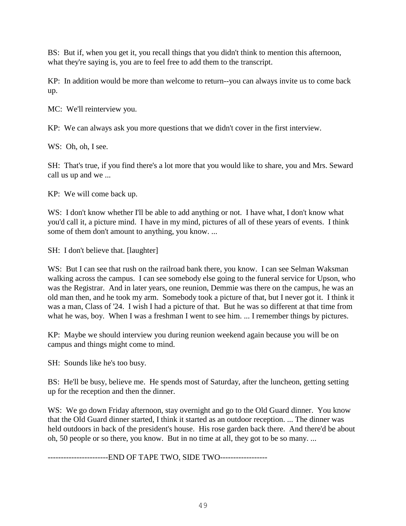BS: But if, when you get it, you recall things that you didn't think to mention this afternoon, what they're saying is, you are to feel free to add them to the transcript.

KP: In addition would be more than welcome to return--you can always invite us to come back up.

MC: We'll reinterview you.

KP: We can always ask you more questions that we didn't cover in the first interview.

WS: Oh, oh, I see.

SH: That's true, if you find there's a lot more that you would like to share, you and Mrs. Seward call us up and we ...

KP: We will come back up.

WS: I don't know whether I'll be able to add anything or not. I have what, I don't know what you'd call it, a picture mind. I have in my mind, pictures of all of these years of events. I think some of them don't amount to anything, you know. ...

SH: I don't believe that. [laughter]

WS: But I can see that rush on the railroad bank there, you know. I can see Selman Waksman walking across the campus. I can see somebody else going to the funeral service for Upson, who was the Registrar. And in later years, one reunion, Demmie was there on the campus, he was an old man then, and he took my arm. Somebody took a picture of that, but I never got it. I think it was a man, Class of '24. I wish I had a picture of that. But he was so different at that time from what he was, boy. When I was a freshman I went to see him. ... I remember things by pictures.

KP: Maybe we should interview you during reunion weekend again because you will be on campus and things might come to mind.

SH: Sounds like he's too busy.

BS: He'll be busy, believe me. He spends most of Saturday, after the luncheon, getting setting up for the reception and then the dinner.

WS: We go down Friday afternoon, stay overnight and go to the Old Guard dinner. You know that the Old Guard dinner started, I think it started as an outdoor reception. ... The dinner was held outdoors in back of the president's house. His rose garden back there. And there'd be about oh, 50 people or so there, you know. But in no time at all, they got to be so many. ...

-----------------------END OF TAPE TWO, SIDE TWO------------------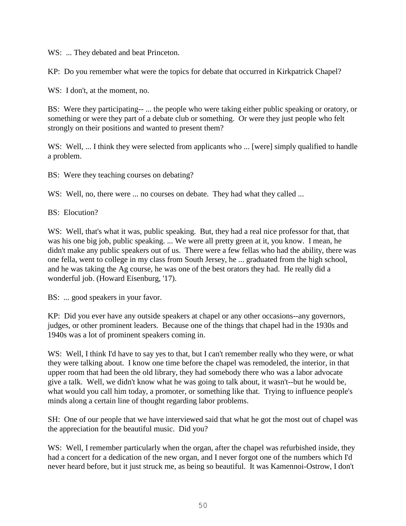W.S: ... They debated and beat Princeton.

KP: Do you remember what were the topics for debate that occurred in Kirkpatrick Chapel?

WS: I don't, at the moment, no.

BS: Were they participating-- ... the people who were taking either public speaking or oratory, or something or were they part of a debate club or something. Or were they just people who felt strongly on their positions and wanted to present them?

WS: Well, ... I think they were selected from applicants who ... [were] simply qualified to handle a problem.

BS: Were they teaching courses on debating?

WS: Well, no, there were ... no courses on debate. They had what they called ...

BS: Elocution?

WS: Well, that's what it was, public speaking. But, they had a real nice professor for that, that was his one big job, public speaking. ... We were all pretty green at it, you know. I mean, he didn't make any public speakers out of us. There were a few fellas who had the ability, there was one fella, went to college in my class from South Jersey, he ... graduated from the high school, and he was taking the Ag course, he was one of the best orators they had. He really did a wonderful job. (Howard Eisenburg, '17).

BS: ... good speakers in your favor.

KP: Did you ever have any outside speakers at chapel or any other occasions--any governors, judges, or other prominent leaders. Because one of the things that chapel had in the 1930s and 1940s was a lot of prominent speakers coming in.

WS: Well, I think I'd have to say yes to that, but I can't remember really who they were, or what they were talking about. I know one time before the chapel was remodeled, the interior, in that upper room that had been the old library, they had somebody there who was a labor advocate give a talk. Well, we didn't know what he was going to talk about, it wasn't--but he would be, what would you call him today, a promoter, or something like that. Trying to influence people's minds along a certain line of thought regarding labor problems.

SH: One of our people that we have interviewed said that what he got the most out of chapel was the appreciation for the beautiful music. Did you?

WS: Well, I remember particularly when the organ, after the chapel was refurbished inside, they had a concert for a dedication of the new organ, and I never forgot one of the numbers which I'd never heard before, but it just struck me, as being so beautiful. It was Kamennoi-Ostrow, I don't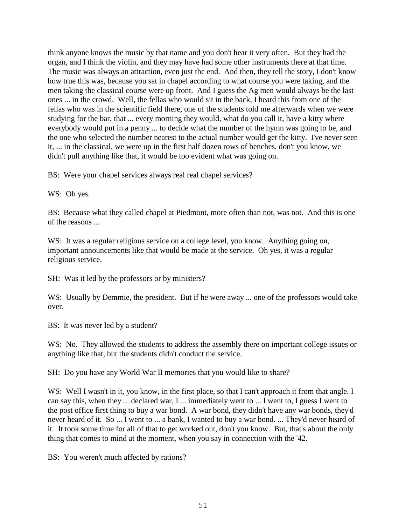think anyone knows the music by that name and you don't hear it very often. But they had the organ, and I think the violin, and they may have had some other instruments there at that time. The music was always an attraction, even just the end. And then, they tell the story, I don't know how true this was, because you sat in chapel according to what course you were taking, and the men taking the classical course were up front. And I guess the Ag men would always be the last ones ... in the crowd. Well, the fellas who would sit in the back, I heard this from one of the fellas who was in the scientific field there, one of the students told me afterwards when we were studying for the bar, that ... every morning they would, what do you call it, have a kitty where everybody would put in a penny ... to decide what the number of the hymn was going to be, and the one who selected the number nearest to the actual number would get the kitty. I've never seen it, ... in the classical, we were up in the first half dozen rows of benches, don't you know, we didn't pull anything like that, it would be too evident what was going on.

BS: Were your chapel services always real real chapel services?

WS: Oh yes.

BS: Because what they called chapel at Piedmont, more often than not, was not. And this is one of the reasons ...

WS: It was a regular religious service on a college level, you know. Anything going on, important announcements like that would be made at the service. Oh yes, it was a regular religious service.

SH: Was it led by the professors or by ministers?

W.S: Usually by Demmie, the president. But if he were away ... one of the professors would take over.

BS: It was never led by a student?

W.S: No. They allowed the students to address the assembly there on important college issues or anything like that, but the students didn't conduct the service.

SH: Do you have any World War II memories that you would like to share?

WS: Well I wasn't in it, you know, in the first place, so that I can't approach it from that angle. I can say this, when they ... declared war, I ... immediately went to ... I went to, I guess I went to the post office first thing to buy a war bond. A war bond, they didn't have any war bonds, they'd never heard of it. So ... I went to ... a bank, I wanted to buy a war bond. ... They'd never heard of it. It took some time for all of that to get worked out, don't you know. But, that's about the only thing that comes to mind at the moment, when you say in connection with the '42.

BS: You weren't much affected by rations?